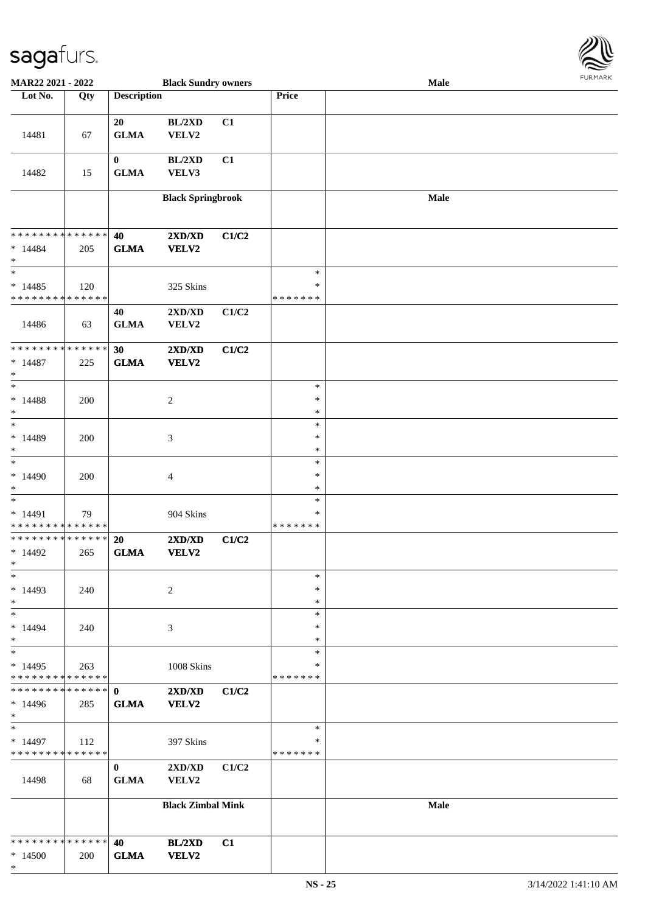

| MAR22 2021 - 2022            |     |                    | <b>Black Sundry owners</b> |       |               | Male        |  |
|------------------------------|-----|--------------------|----------------------------|-------|---------------|-------------|--|
| Lot No.                      | Qty | <b>Description</b> |                            |       | Price         |             |  |
|                              |     |                    |                            |       |               |             |  |
|                              |     | 20                 | BL/2XD                     | C1    |               |             |  |
| 14481                        | 67  | <b>GLMA</b>        | VELV2                      |       |               |             |  |
|                              |     |                    |                            |       |               |             |  |
|                              |     | $\bf{0}$           | BL/2XD                     | C1    |               |             |  |
| 14482                        | 15  | ${\bf GLMA}$       | VELV3                      |       |               |             |  |
|                              |     |                    |                            |       |               |             |  |
|                              |     |                    | <b>Black Springbrook</b>   |       |               | Male        |  |
|                              |     |                    |                            |       |               |             |  |
|                              |     |                    |                            |       |               |             |  |
| * * * * * * * * * * * * * *  |     | 40                 | 2XD/XD                     | C1/C2 |               |             |  |
| $* 14484$                    | 205 | ${\bf GLMA}$       | VELV2                      |       |               |             |  |
| $\ast$                       |     |                    |                            |       |               |             |  |
| $\ast$                       |     |                    |                            |       | $\ast$        |             |  |
| $*14485$                     | 120 |                    | 325 Skins                  |       | $\ast$        |             |  |
| * * * * * * * * * * * * * *  |     |                    |                            |       | * * * * * * * |             |  |
|                              |     | 40                 | 2XD/XD                     | C1/C2 |               |             |  |
| 14486                        | 63  | ${\bf GLMA}$       | VELV2                      |       |               |             |  |
|                              |     |                    |                            |       |               |             |  |
| **************               |     | 30                 | 2XD/XD                     | C1/C2 |               |             |  |
| $* 14487$                    | 225 | <b>GLMA</b>        | <b>VELV2</b>               |       |               |             |  |
| $\ast$                       |     |                    |                            |       |               |             |  |
| $\ast$                       |     |                    |                            |       | $\ast$        |             |  |
| $* 14488$                    | 200 |                    | $\boldsymbol{2}$           |       | $\ast$        |             |  |
| $\ast$                       |     |                    |                            |       | $\ast$        |             |  |
| $\ast$                       |     |                    |                            |       | $\ast$        |             |  |
| $*14489$                     | 200 |                    | $\mathfrak{Z}$             |       | $\ast$        |             |  |
| $\ast$                       |     |                    |                            |       | $\ast$        |             |  |
| $\overline{\phantom{1}}$     |     |                    |                            |       | $\ast$        |             |  |
| $*14490$                     | 200 |                    | $\overline{\mathcal{A}}$   |       | $\ast$        |             |  |
| $\ast$                       |     |                    |                            |       | $\ast$        |             |  |
| $\ast$                       |     |                    |                            |       | $\ast$        |             |  |
| $* 14491$                    | 79  |                    | 904 Skins                  |       | $\ast$        |             |  |
| ******** <mark>******</mark> |     |                    |                            |       | * * * * * * * |             |  |
| **************               |     | 20                 | 2XD/XD                     | C1/C2 |               |             |  |
| $*14492$                     | 265 | <b>GLMA</b>        | VELV2                      |       |               |             |  |
| $*$                          |     |                    |                            |       |               |             |  |
| $\ast$                       |     |                    |                            |       | $\ast$        |             |  |
| $*14493$                     | 240 |                    | $\overline{c}$             |       | ∗             |             |  |
| $\ast$                       |     |                    |                            |       | $\ast$        |             |  |
| $\ast$                       |     |                    |                            |       | $\ast$        |             |  |
| $*14494$                     | 240 |                    | 3                          |       | *             |             |  |
| $\ast$                       |     |                    |                            |       | *             |             |  |
| $\ast$                       |     |                    |                            |       | $\ast$        |             |  |
| $*14495$                     | 263 |                    | 1008 Skins                 |       | *             |             |  |
| * * * * * * * * * * * * * *  |     |                    |                            |       | * * * * * * * |             |  |
| * * * * * * * * * * * * * *  |     | $\mathbf{0}$       | 2XD/XD                     | C1/C2 |               |             |  |
| $*14496$                     | 285 | <b>GLMA</b>        | VELV2                      |       |               |             |  |
| $\ast$                       |     |                    |                            |       |               |             |  |
| $\ast$                       |     |                    |                            |       | $\ast$        |             |  |
| $*14497$                     | 112 |                    | 397 Skins                  |       | *             |             |  |
| * * * * * * * * * * * * * *  |     |                    |                            |       | * * * * * * * |             |  |
|                              |     | $\bf{0}$           | 2XD/XD                     | C1/C2 |               |             |  |
| 14498                        | 68  | <b>GLMA</b>        | VELV2                      |       |               |             |  |
|                              |     |                    |                            |       |               |             |  |
|                              |     |                    | <b>Black Zimbal Mink</b>   |       |               | <b>Male</b> |  |
|                              |     |                    |                            |       |               |             |  |
|                              |     |                    |                            |       |               |             |  |
| * * * * * * * * * * * * * *  |     | 40                 | BL/2XD                     | C1    |               |             |  |
| $*14500$                     | 200 | <b>GLMA</b>        | VELV2                      |       |               |             |  |
| $\ast$                       |     |                    |                            |       |               |             |  |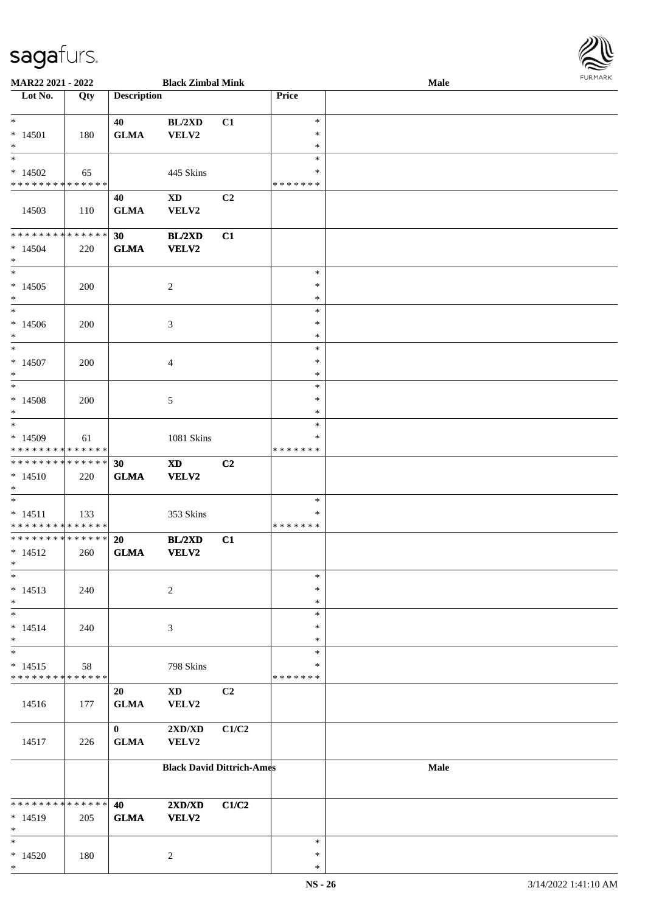\*

| <b>MAR22 2021 - 2022</b>                   |     |                    | <b>Black Zimbal Mink</b>         |                |                  | Male        | <b>FURPIARA</b> |
|--------------------------------------------|-----|--------------------|----------------------------------|----------------|------------------|-------------|-----------------|
| Lot No.                                    | Qty | <b>Description</b> |                                  |                | Price            |             |                 |
|                                            |     |                    |                                  |                |                  |             |                 |
| $*$                                        |     | 40                 | BL/2XD                           | C1             | $\ast$<br>$\ast$ |             |                 |
| $* 14501$<br>$*$                           | 180 | <b>GLMA</b>        | VELV2                            |                | $\ast$           |             |                 |
| $\overline{\phantom{0}}$                   |     |                    |                                  |                | $\ast$           |             |                 |
| $*14502$                                   | 65  |                    | 445 Skins                        |                | $\ast$           |             |                 |
| * * * * * * * * <mark>* * * * * * *</mark> |     |                    |                                  |                | *******          |             |                 |
|                                            |     | 40                 | <b>XD</b>                        | C2             |                  |             |                 |
| 14503                                      | 110 | <b>GLMA</b>        | VELV2                            |                |                  |             |                 |
|                                            |     |                    |                                  |                |                  |             |                 |
| * * * * * * * * <mark>* * * * * * *</mark> |     | 30                 | BL/2XD                           | C1             |                  |             |                 |
| $* 14504$                                  | 220 | <b>GLMA</b>        | <b>VELV2</b>                     |                |                  |             |                 |
| $\ast$                                     |     |                    |                                  |                |                  |             |                 |
|                                            |     |                    |                                  |                | $\ast$           |             |                 |
| $*14505$                                   | 200 |                    | $\overline{2}$                   |                | $\ast$           |             |                 |
| $*$                                        |     |                    |                                  |                | $\ast$<br>$\ast$ |             |                 |
| $*14506$                                   |     |                    |                                  |                | $\ast$           |             |                 |
| $*$                                        | 200 |                    | 3                                |                | $\ast$           |             |                 |
| $*$                                        |     |                    |                                  |                | $\ast$           |             |                 |
| $*14507$                                   | 200 |                    | $\overline{4}$                   |                | $\ast$           |             |                 |
| $\ast$                                     |     |                    |                                  |                | $\ast$           |             |                 |
| $\overline{\ast}$                          |     |                    |                                  |                | $\ast$           |             |                 |
| $*14508$                                   | 200 |                    | 5                                |                | $\ast$           |             |                 |
| $\ast$                                     |     |                    |                                  |                | $\ast$           |             |                 |
|                                            |     |                    |                                  |                | $\ast$           |             |                 |
| $*14509$                                   | 61  |                    | 1081 Skins                       |                | ∗                |             |                 |
| * * * * * * * * <mark>* * * * * *</mark>   |     |                    |                                  |                | *******          |             |                 |
| * * * * * * * * * * * * * * *              |     | 30                 | <b>XD</b>                        | C <sub>2</sub> |                  |             |                 |
| $* 14510$                                  | 220 | <b>GLMA</b>        | <b>VELV2</b>                     |                |                  |             |                 |
| $\ast$                                     |     |                    |                                  |                | $\ast$           |             |                 |
| $* 14511$                                  | 133 |                    | 353 Skins                        |                | ∗                |             |                 |
| * * * * * * * * <mark>* * * * * * *</mark> |     |                    |                                  |                | *******          |             |                 |
| * * * * * * * * <mark>* * * * * * *</mark> |     | 20                 | BL/2XD                           | C1             |                  |             |                 |
| $* 14512$                                  | 260 | <b>GLMA</b>        | <b>VELV2</b>                     |                |                  |             |                 |
| $*$ $-$                                    |     |                    |                                  |                |                  |             |                 |
| $\ast$                                     |     |                    |                                  |                | $\ast$           |             |                 |
| $* 14513$                                  | 240 |                    | 2                                |                | $\ast$           |             |                 |
| $\ast$                                     |     |                    |                                  |                | $\ast$           |             |                 |
| $\ast$                                     |     |                    |                                  |                | $\ast$           |             |                 |
| $* 14514$                                  | 240 |                    | 3                                |                | $\ast$           |             |                 |
| $\ast$<br>$\ast$                           |     |                    |                                  |                | $\ast$<br>$\ast$ |             |                 |
| $* 14515$                                  | 58  |                    | 798 Skins                        |                | ∗                |             |                 |
| * * * * * * * * <mark>* * * * * *</mark>   |     |                    |                                  |                | * * * * * * *    |             |                 |
|                                            |     | 20                 | $\mathbf{X}\mathbf{D}$           | C2             |                  |             |                 |
| 14516                                      | 177 | <b>GLMA</b>        | VELV2                            |                |                  |             |                 |
|                                            |     |                    |                                  |                |                  |             |                 |
|                                            |     | $\mathbf{0}$       | 2XD/XD                           | C1/C2          |                  |             |                 |
| 14517                                      | 226 | <b>GLMA</b>        | VELV2                            |                |                  |             |                 |
|                                            |     |                    |                                  |                |                  |             |                 |
|                                            |     |                    | <b>Black David Dittrich-Ames</b> |                |                  | <b>Male</b> |                 |
|                                            |     |                    |                                  |                |                  |             |                 |
| * * * * * * * * <mark>* * * * * *</mark>   |     | 40                 | 2XD/XD                           | C1/C2          |                  |             |                 |
| $* 14519$                                  | 205 | <b>GLMA</b>        | <b>VELV2</b>                     |                |                  |             |                 |
| $\ast$                                     |     |                    |                                  |                |                  |             |                 |
| $\ast$                                     |     |                    |                                  |                | $\ast$           |             |                 |
| $*14520$                                   | 180 |                    | $\overline{2}$                   |                | $\ast$           |             |                 |

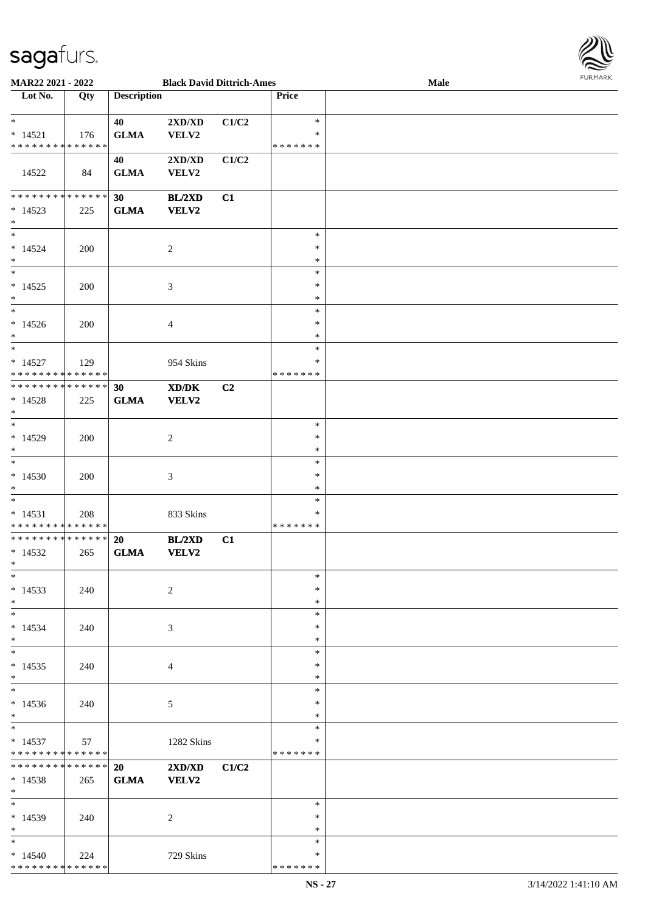\* \* \* \* \* \* \* \* \* \* \* \* \* \* \*



| <b>MAR22 2021 - 2022</b>                   |     |                    | <b>Black David Dittrich-Ames</b> |       |               | <b>Male</b> |  |
|--------------------------------------------|-----|--------------------|----------------------------------|-------|---------------|-------------|--|
| Lot No.                                    | Qty | <b>Description</b> |                                  |       | <b>Price</b>  |             |  |
|                                            |     |                    |                                  |       |               |             |  |
| $\ast$                                     |     | 40                 | 2XD/XD                           | C1/C2 | $\ast$        |             |  |
| $* 14521$                                  | 176 | <b>GLMA</b>        | VELV2                            |       | $\ast$        |             |  |
| * * * * * * * * <mark>* * * * * * *</mark> |     |                    |                                  |       | * * * * * * * |             |  |
|                                            |     | 40                 | $2{\bf X}{\bf D}/{\bf X}{\bf D}$ | C1/C2 |               |             |  |
| 14522                                      | 84  | <b>GLMA</b>        | VELV2                            |       |               |             |  |
|                                            |     |                    |                                  |       |               |             |  |
| * * * * * * * * <mark>* * * * * * *</mark> |     | 30                 |                                  |       |               |             |  |
|                                            |     |                    | BL/2XD                           | C1    |               |             |  |
| $*14523$<br>$\ast$                         | 225 | <b>GLMA</b>        | <b>VELV2</b>                     |       |               |             |  |
| $\ast$                                     |     |                    |                                  |       |               |             |  |
|                                            |     |                    |                                  |       | $\ast$        |             |  |
| $*14524$                                   | 200 |                    | $\overline{2}$                   |       | $\ast$        |             |  |
| $*$                                        |     |                    |                                  |       | $\ast$        |             |  |
| $\ddot{x}$                                 |     |                    |                                  |       | $\ast$        |             |  |
| $*14525$                                   | 200 |                    | $\mathfrak{Z}$                   |       | $\ast$        |             |  |
| $\ast$                                     |     |                    |                                  |       | $\ast$        |             |  |
| $\ast$                                     |     |                    |                                  |       | $\ast$        |             |  |
| $*14526$                                   | 200 |                    | 4                                |       | $\ast$        |             |  |
| $\ast$                                     |     |                    |                                  |       | $\ast$        |             |  |
| $\ast$                                     |     |                    |                                  |       | $\ast$        |             |  |
| $* 14527$                                  | 129 |                    | 954 Skins                        |       | $\ast$        |             |  |
| * * * * * * * * * * * * * * *              |     |                    |                                  |       | * * * * * * * |             |  |
| * * * * * * * * * * * * * * <mark>*</mark> |     | 30                 | XD/DK                            | C2    |               |             |  |
| $* 14528$                                  | 225 | <b>GLMA</b>        | <b>VELV2</b>                     |       |               |             |  |
| $\ast$                                     |     |                    |                                  |       |               |             |  |
| $\overline{\ast}$                          |     |                    |                                  |       | $\ast$        |             |  |
| $*14529$                                   | 200 |                    | $\sqrt{2}$                       |       | $\ast$        |             |  |
| $\ast$                                     |     |                    |                                  |       | $\ast$        |             |  |
| $\ast$                                     |     |                    |                                  |       | $\ast$        |             |  |
| $*14530$                                   | 200 |                    | $\mathfrak{Z}$                   |       | $\ast$        |             |  |
| $*$                                        |     |                    |                                  |       | $\ast$        |             |  |
| $*$                                        |     |                    |                                  |       | $\ast$        |             |  |
| $* 14531$                                  | 208 |                    | 833 Skins                        |       | $\ast$        |             |  |
| * * * * * * * * <mark>* * * * * *</mark>   |     |                    |                                  |       | * * * * * * * |             |  |
| * * * * * * * * <mark>* * * * * * *</mark> |     | 20                 | BL/2XD                           | C1    |               |             |  |
| $*14532$                                   | 265 | <b>GLMA</b>        | <b>VELV2</b>                     |       |               |             |  |
| $\ast$                                     |     |                    |                                  |       |               |             |  |
| $*$                                        |     |                    |                                  |       | $\ast$        |             |  |
| $*14533$                                   |     |                    |                                  |       | $\ast$        |             |  |
|                                            | 240 |                    | $\overline{c}$                   |       | $\ast$        |             |  |
| $\ast$<br>$*$ $-$                          |     |                    |                                  |       | $\ast$        |             |  |
|                                            |     |                    |                                  |       |               |             |  |
| $*14534$<br>$\ast$                         | 240 |                    | 3                                |       | $\ast$        |             |  |
|                                            |     |                    |                                  |       | $\ast$        |             |  |
| $*$                                        |     |                    |                                  |       | $\ast$        |             |  |
| $*14535$                                   | 240 |                    | $\overline{4}$                   |       | $\ast$        |             |  |
| $\ast$                                     |     |                    |                                  |       | $\ast$        |             |  |
| $\ddot{x}$                                 |     |                    |                                  |       | $\ast$        |             |  |
| $*14536$                                   | 240 |                    | $\mathfrak{S}$                   |       | $\ast$        |             |  |
| $*$                                        |     |                    |                                  |       | $\ast$        |             |  |
| $*$                                        |     |                    |                                  |       | $\ast$        |             |  |
| $*14537$                                   | 57  |                    | 1282 Skins                       |       | $\ast$        |             |  |
| * * * * * * * * <mark>* * * * * *</mark>   |     |                    |                                  |       | *******       |             |  |
| * * * * * * * * * * * * * * <mark>*</mark> |     | 20                 | 2XD/XD                           | C1/C2 |               |             |  |
| $*14538$                                   | 265 | <b>GLMA</b>        | VELV2                            |       |               |             |  |
| $\ast$                                     |     |                    |                                  |       |               |             |  |
| $*$                                        |     |                    |                                  |       | $\ast$        |             |  |
| $*14539$                                   | 240 |                    | $\overline{2}$                   |       | $\ast$        |             |  |
| $*$                                        |     |                    |                                  |       | $\ast$        |             |  |
| $\ast$                                     |     |                    |                                  |       | $\ast$        |             |  |
| $*14540$                                   | 224 |                    | 729 Skins                        |       | $\ast$        |             |  |
|                                            |     |                    |                                  |       |               |             |  |

\* \* \* \* \* \* \*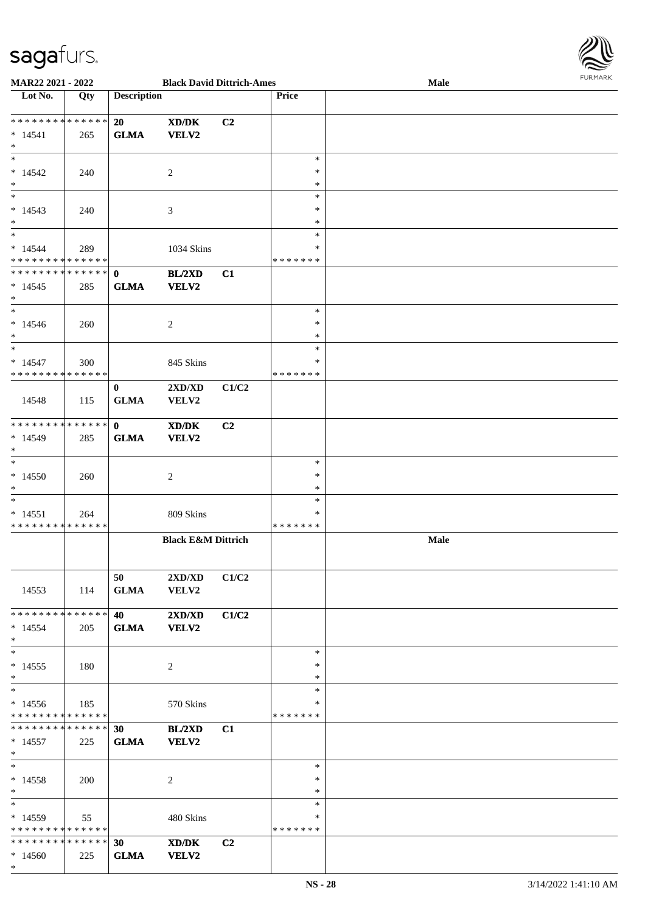

| <b>MAR22 2021 - 2022</b>                   |     |                    | <b>Black David Dittrich-Ames</b> |                |              | Male |
|--------------------------------------------|-----|--------------------|----------------------------------|----------------|--------------|------|
| Lot No.                                    | Qty | <b>Description</b> |                                  |                | <b>Price</b> |      |
|                                            |     |                    |                                  |                |              |      |
| * * * * * * * * <mark>* * * * * * *</mark> |     | 20                 | XD/DK                            | C2             |              |      |
| $* 14541$                                  | 265 | <b>GLMA</b>        | <b>VELV2</b>                     |                |              |      |
| $*$                                        |     |                    |                                  |                |              |      |
|                                            |     |                    |                                  |                | $\ast$       |      |
| $* 14542$                                  | 240 |                    | 2                                |                | ∗            |      |
| $*$                                        |     |                    |                                  |                | *            |      |
|                                            |     |                    |                                  |                | $\ast$       |      |
|                                            |     |                    |                                  |                |              |      |
| $* 14543$                                  | 240 |                    | 3                                |                | $\ast$       |      |
| $*$                                        |     |                    |                                  |                | $\ast$       |      |
| $*$                                        |     |                    |                                  |                | $\ast$       |      |
| $* 14544$                                  | 289 |                    | 1034 Skins                       |                | $\ast$       |      |
| * * * * * * * * <mark>* * * * * *</mark>   |     |                    |                                  |                | *******      |      |
| * * * * * * * * * * * * * * *              |     | $\mathbf{0}$       | BL/2XD                           | C1             |              |      |
| $* 14545$                                  | 285 | <b>GLMA</b>        | VELV2                            |                |              |      |
| $\ast$                                     |     |                    |                                  |                |              |      |
| $*$                                        |     |                    |                                  |                | $\ast$       |      |
| $* 14546$                                  | 260 |                    | 2                                |                | $\ast$       |      |
| $*$                                        |     |                    |                                  |                | $\ast$       |      |
| $*$                                        |     |                    |                                  |                | $\ast$       |      |
|                                            |     |                    |                                  |                | *            |      |
| $* 14547$                                  | 300 |                    | 845 Skins                        |                |              |      |
| * * * * * * * * * * * * * * *              |     |                    |                                  |                | *******      |      |
|                                            |     | $\bf{0}$           | 2XD/XD                           | C1/C2          |              |      |
| 14548                                      | 115 | <b>GLMA</b>        | <b>VELV2</b>                     |                |              |      |
|                                            |     |                    |                                  |                |              |      |
| * * * * * * * * * * * * * * *              |     | $\mathbf{0}$       | XD/DK                            | C <sub>2</sub> |              |      |
| $* 14549$                                  | 285 | <b>GLMA</b>        | VELV2                            |                |              |      |
| $*$                                        |     |                    |                                  |                |              |      |
| $*$                                        |     |                    |                                  |                | $\ast$       |      |
| $*14550$                                   | 260 |                    | 2                                |                | $\ast$       |      |
| $*$                                        |     |                    |                                  |                | $\ast$       |      |
| $*$                                        |     |                    |                                  |                | $\ast$       |      |
|                                            |     |                    |                                  |                | *            |      |
| $* 14551$<br>* * * * * * * * * * * * * * * | 264 |                    | 809 Skins                        |                | *******      |      |
|                                            |     |                    |                                  |                |              |      |
|                                            |     |                    | <b>Black E&amp;M Dittrich</b>    |                |              | Male |
|                                            |     |                    |                                  |                |              |      |
|                                            |     |                    |                                  |                |              |      |
|                                            |     | 50                 | 2XD/XD                           | C1/C2          |              |      |
| 14553                                      | 114 | <b>GLMA</b>        | <b>VELV2</b>                     |                |              |      |
|                                            |     |                    |                                  |                |              |      |
| * * * * * * * * <mark>* * * * * *</mark> * |     | 40 — 20            | $2{\bf X}{\bf D}/{\bf X}{\bf D}$ | C1/C2          |              |      |
| $*14554$                                   | 205 | <b>GLMA</b>        | <b>VELV2</b>                     |                |              |      |
| $\ast$                                     |     |                    |                                  |                |              |      |
| $*$                                        |     |                    |                                  |                | $\ast$       |      |
| $*14555$                                   | 180 |                    |                                  |                | ∗            |      |
| $*$                                        |     |                    | 2                                |                | $\ast$       |      |
| $*$                                        |     |                    |                                  |                |              |      |
|                                            |     |                    |                                  |                | $\ast$       |      |
| $*14556$                                   | 185 |                    | 570 Skins                        |                | *            |      |
| * * * * * * * * * * * * * * *              |     |                    |                                  |                | *******      |      |
|                                            |     |                    | BL/2XD                           | C1             |              |      |
| $* 14557$                                  | 225 | <b>GLMA</b>        | <b>VELV2</b>                     |                |              |      |
| $*$                                        |     |                    |                                  |                |              |      |
| $*$ $-$                                    |     |                    |                                  |                | $\ast$       |      |
| $* 14558$                                  | 200 |                    | 2                                |                | $\ast$       |      |
| $*$                                        |     |                    |                                  |                | $\ast$       |      |
| $*$                                        |     |                    |                                  |                | $\ast$       |      |
|                                            |     |                    |                                  |                | ∗            |      |
| $*14559$                                   | 55  |                    | 480 Skins                        |                |              |      |
| * * * * * * * * * * * * * * *              |     |                    |                                  |                | *******      |      |
| * * * * * * * * <mark>* * * * * *</mark>   |     | 30                 | XD/DK                            | C2             |              |      |
| $*14560$                                   | 225 | <b>GLMA</b>        | <b>VELV2</b>                     |                |              |      |
| $*$                                        |     |                    |                                  |                |              |      |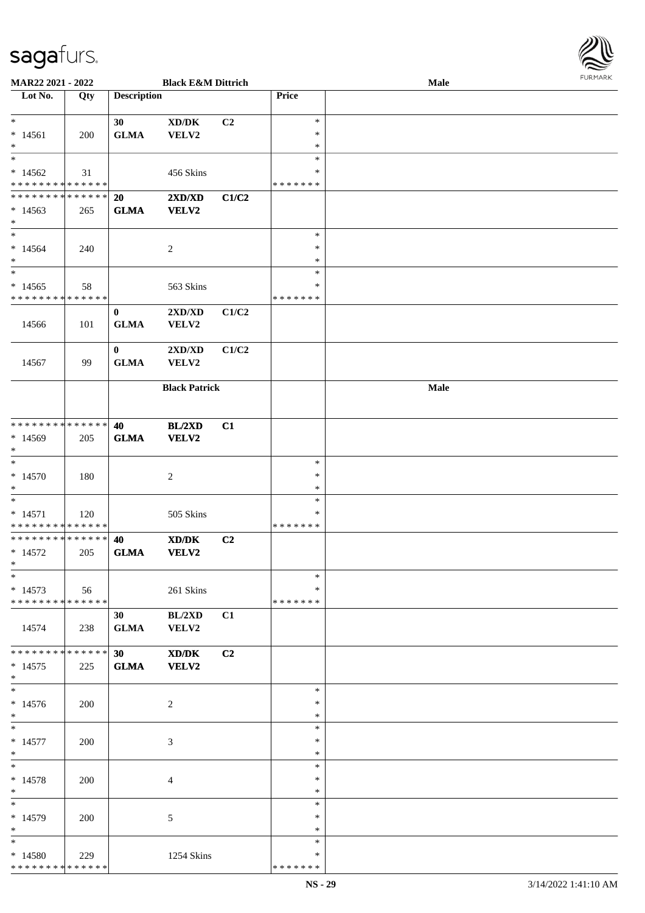

| <b>MAR22 2021 - 2022</b>                   |     |                    | <b>Black E&amp;M Dittrich</b>               |                |               | Male |
|--------------------------------------------|-----|--------------------|---------------------------------------------|----------------|---------------|------|
| Lot No.                                    | Qty | <b>Description</b> |                                             |                | Price         |      |
|                                            |     |                    |                                             |                |               |      |
| $\ast$                                     |     | 30                 | XD/DK                                       | C <sub>2</sub> | $\ast$        |      |
|                                            |     |                    |                                             |                | $\ast$        |      |
| $*14561$                                   | 200 | <b>GLMA</b>        | VELV2                                       |                |               |      |
| $*$                                        |     |                    |                                             |                | $\ast$        |      |
|                                            |     |                    |                                             |                | $\ast$        |      |
| $*14562$                                   | 31  |                    | 456 Skins                                   |                | ∗             |      |
| * * * * * * * * <mark>* * * * * * *</mark> |     |                    |                                             |                | * * * * * * * |      |
| * * * * * * * * * * * * * *                |     |                    |                                             |                |               |      |
|                                            |     | 20                 | 2XD/XD                                      | C1/C2          |               |      |
| $*14563$                                   | 265 | <b>GLMA</b>        | VELV2                                       |                |               |      |
| $\ast$                                     |     |                    |                                             |                |               |      |
| $*$                                        |     |                    |                                             |                | $\ast$        |      |
| $* 14564$                                  | 240 |                    | $\overline{2}$                              |                | $\ast$        |      |
|                                            |     |                    |                                             |                | $\ast$        |      |
| $*$                                        |     |                    |                                             |                |               |      |
| $*$                                        |     |                    |                                             |                | $\ast$        |      |
| $*14565$                                   | 58  |                    | 563 Skins                                   |                | $\ast$        |      |
| * * * * * * * * * * * * * *                |     |                    |                                             |                | * * * * * * * |      |
|                                            |     | $\bf{0}$           | 2XD/XD                                      | C1/C2          |               |      |
|                                            |     |                    |                                             |                |               |      |
| 14566                                      | 101 | <b>GLMA</b>        | VELV2                                       |                |               |      |
|                                            |     |                    |                                             |                |               |      |
|                                            |     | $\bf{0}$           | $2{\bf X}{\bf D}/{\bf X}{\bf D}$            | C1/C2          |               |      |
| 14567                                      | 99  | <b>GLMA</b>        | VELV2                                       |                |               |      |
|                                            |     |                    |                                             |                |               |      |
|                                            |     |                    |                                             |                |               |      |
|                                            |     |                    | <b>Black Patrick</b>                        |                |               | Male |
|                                            |     |                    |                                             |                |               |      |
|                                            |     |                    |                                             |                |               |      |
| * * * * * * * * * * * * * *                |     | 40                 | <b>BL/2XD</b>                               | C1             |               |      |
| * 14569                                    | 205 | <b>GLMA</b>        | VELV2                                       |                |               |      |
|                                            |     |                    |                                             |                |               |      |
| $*$                                        |     |                    |                                             |                |               |      |
| $*$                                        |     |                    |                                             |                | $\ast$        |      |
| $*14570$                                   | 180 |                    | 2                                           |                | $\ast$        |      |
| $*$                                        |     |                    |                                             |                | $\ast$        |      |
| $*$                                        |     |                    |                                             |                | $\ast$        |      |
|                                            |     |                    |                                             |                |               |      |
| $* 14571$                                  | 120 |                    | 505 Skins                                   |                | $\ast$        |      |
| * * * * * * * * * * * * * *                |     |                    |                                             |                | *******       |      |
| * * * * * * * * * * * * * *                |     | 40                 | XD/DK                                       | C2             |               |      |
| $* 14572$                                  | 205 | <b>GLMA</b>        | <b>VELV2</b>                                |                |               |      |
| $*$                                        |     |                    |                                             |                |               |      |
| $*$                                        |     |                    |                                             |                | $\ast$        |      |
|                                            |     |                    |                                             |                |               |      |
| $*14573$                                   | 56  |                    | 261 Skins                                   |                | $\ast$        |      |
| * * * * * * * * * * * * * * *              |     |                    |                                             |                | *******       |      |
|                                            |     | 30                 | BL/2XD                                      | C1             |               |      |
| 14574                                      | 238 | <b>GLMA</b>        | VELV2                                       |                |               |      |
|                                            |     |                    |                                             |                |               |      |
|                                            |     |                    |                                             |                |               |      |
| * * * * * * * * * * * * * * *              |     | 30                 | $\mathbf{X}\mathbf{D}/\mathbf{D}\mathbf{K}$ | C <sub>2</sub> |               |      |
| $* 14575$                                  | 225 | <b>GLMA</b>        | <b>VELV2</b>                                |                |               |      |
| $*$                                        |     |                    |                                             |                |               |      |
|                                            |     |                    |                                             |                | $\ast$        |      |
| $* 14576$                                  | 200 |                    | 2                                           |                | $\ast$        |      |
|                                            |     |                    |                                             |                |               |      |
| $*$                                        |     |                    |                                             |                | $\ast$        |      |
| $*$                                        |     |                    |                                             |                | $\ast$        |      |
| $* 14577$                                  | 200 |                    | $\mathfrak{Z}$                              |                | $\ast$        |      |
| $*$                                        |     |                    |                                             |                | $\ast$        |      |
| $*$                                        |     |                    |                                             |                | $\ast$        |      |
|                                            |     |                    |                                             |                |               |      |
| $* 14578$                                  | 200 |                    | $\overline{4}$                              |                | $\ast$        |      |
| $*$                                        |     |                    |                                             |                | $\ast$        |      |
| $*$                                        |     |                    |                                             |                | $\ast$        |      |
| $* 14579$                                  | 200 |                    | 5                                           |                | $\ast$        |      |
| $*$                                        |     |                    |                                             |                | $\ast$        |      |
|                                            |     |                    |                                             |                |               |      |
| $*$                                        |     |                    |                                             |                | $\ast$        |      |
| $* 14580$                                  | 229 |                    | 1254 Skins                                  |                | ∗             |      |
| * * * * * * * * * * * * * *                |     |                    |                                             |                | * * * * * * * |      |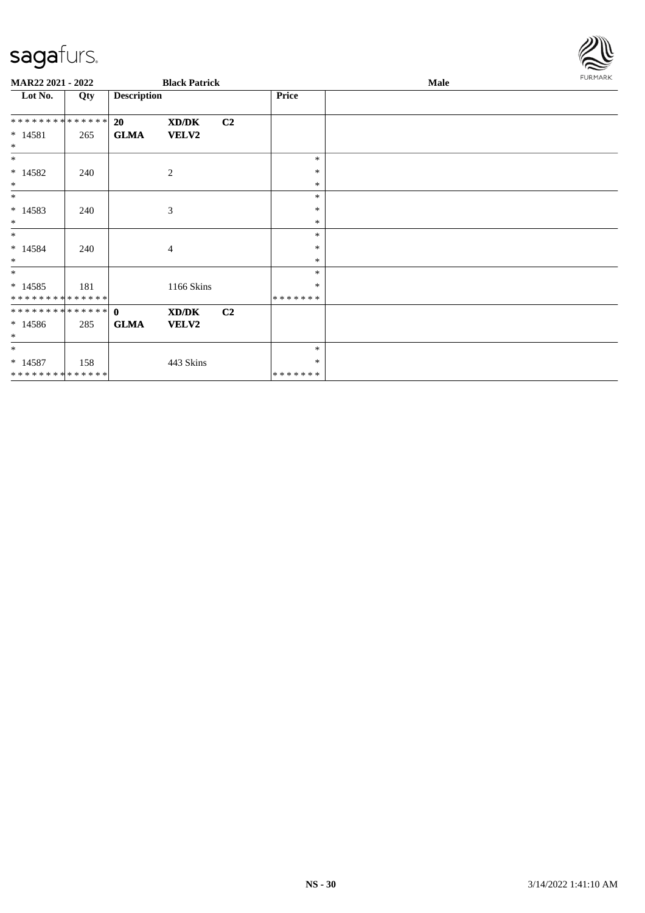

| MAR22 2021 - 2022            |     |                    | <b>Black Patrick</b> |                |                  | Male | <b>FURMARK</b> |
|------------------------------|-----|--------------------|----------------------|----------------|------------------|------|----------------|
| Lot No.                      | Qty | <b>Description</b> |                      |                | <b>Price</b>     |      |                |
| **************               |     | 20                 | XD/DK                | C <sub>2</sub> |                  |      |                |
| $* 14581$<br>$\ast$          | 265 | <b>GLMA</b>        | VELV2                |                |                  |      |                |
| $*$                          |     |                    |                      |                | *                |      |                |
| $* 14582$                    | 240 |                    | 2                    |                | $\ast$           |      |                |
| $\ast$                       |     |                    |                      |                | $\ast$<br>$\ast$ |      |                |
| $\ast$                       |     |                    |                      |                | $\ast$           |      |                |
| $* 14583$<br>$\ast$          | 240 |                    | 3                    |                | $\ast$           |      |                |
| $*$                          |     |                    |                      |                | *                |      |                |
| $* 14584$                    | 240 |                    | 4                    |                | $\ast$           |      |                |
| $\ast$                       |     |                    |                      |                | $\ast$           |      |                |
| $*$                          |     |                    |                      |                | $\ast$           |      |                |
| $* 14585$                    | 181 |                    | 1166 Skins           |                | *                |      |                |
| **************               |     |                    |                      |                | * * * * * * *    |      |                |
| ************** 0             |     |                    | XD/DK                | C <sub>2</sub> |                  |      |                |
| $* 14586$<br>$*$             | 285 | <b>GLMA</b>        | <b>VELV2</b>         |                |                  |      |                |
| $*$                          |     |                    |                      |                | $\ast$           |      |                |
| $* 14587$                    | 158 |                    | 443 Skins            |                | *                |      |                |
| ******** <mark>******</mark> |     |                    |                      |                | * * * * * * *    |      |                |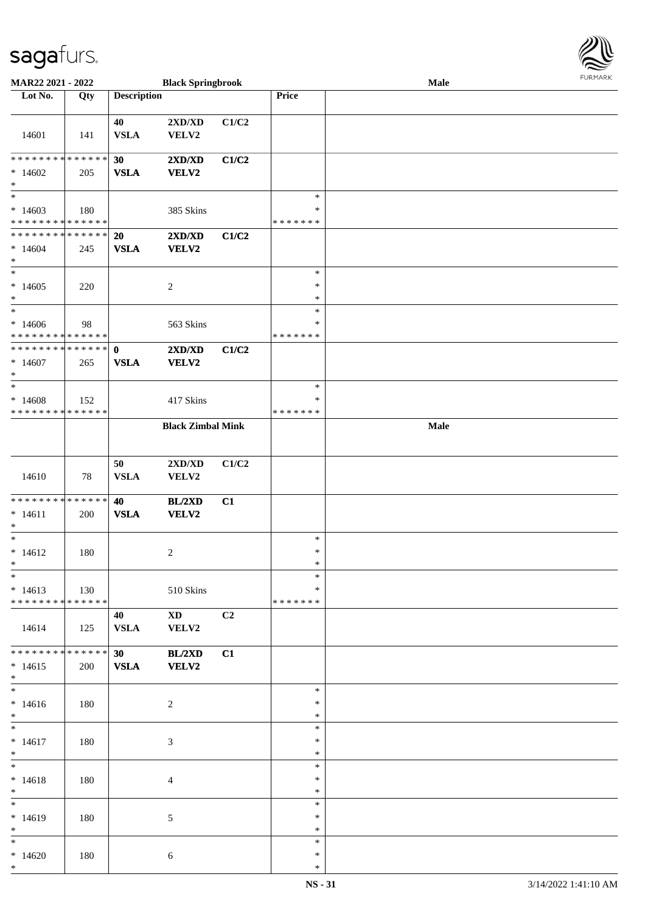| MAR22 2021 - 2022                          |     |                    | <b>Black Springbrook</b> |                |               | Male | 1.91111111 |
|--------------------------------------------|-----|--------------------|--------------------------|----------------|---------------|------|------------|
| Lot No.                                    | Qty | <b>Description</b> |                          |                | Price         |      |            |
|                                            |     |                    |                          |                |               |      |            |
|                                            |     | 40                 | 2XD/XD                   | C1/C2          |               |      |            |
| 14601                                      | 141 | <b>VSLA</b>        | VELV2                    |                |               |      |            |
|                                            |     |                    |                          |                |               |      |            |
| * * * * * * * * * * * * * *                |     | 30                 | 2XD/XD                   | C1/C2          |               |      |            |
| $*14602$                                   | 205 | <b>VSLA</b>        | VELV2                    |                |               |      |            |
| $*$                                        |     |                    |                          |                |               |      |            |
| $*$                                        |     |                    |                          |                | $\ast$        |      |            |
|                                            |     |                    |                          |                |               |      |            |
| $*14603$                                   | 180 |                    | 385 Skins                |                | $\ast$        |      |            |
| * * * * * * * * * * * * * *                |     |                    |                          |                | * * * * * * * |      |            |
| * * * * * * * * * * * * * * *              |     | 20                 | 2XD/XD                   | C1/C2          |               |      |            |
| $*14604$                                   | 245 | <b>VSLA</b>        | VELV2                    |                |               |      |            |
| $\ast$                                     |     |                    |                          |                |               |      |            |
|                                            |     |                    |                          |                | $\ast$        |      |            |
| $*14605$                                   | 220 |                    | $\overline{c}$           |                | $\ast$        |      |            |
| $*$                                        |     |                    |                          |                | $\ast$        |      |            |
| $*$                                        |     |                    |                          |                | $\ast$        |      |            |
| $*14606$                                   | 98  |                    | 563 Skins                |                | *             |      |            |
| * * * * * * * * * * * * * *                |     |                    |                          |                | * * * * * * * |      |            |
| * * * * * * * * * * * * * * *              |     | $\mathbf{0}$       | 2XD/XD                   | C1/C2          |               |      |            |
| $*14607$                                   | 265 | <b>VSLA</b>        | VELV2                    |                |               |      |            |
| $*$                                        |     |                    |                          |                |               |      |            |
| $\ast$                                     |     |                    |                          |                | $\ast$        |      |            |
|                                            |     |                    |                          |                |               |      |            |
| $*14608$                                   | 152 |                    | 417 Skins                |                | *             |      |            |
| * * * * * * * * * * * * * *                |     |                    |                          |                | * * * * * * * |      |            |
|                                            |     |                    | <b>Black Zimbal Mink</b> |                |               | Male |            |
|                                            |     |                    |                          |                |               |      |            |
|                                            |     |                    |                          |                |               |      |            |
|                                            |     | 50                 | 2XD/XD                   | C1/C2          |               |      |            |
| 14610                                      | 78  | <b>VSLA</b>        | VELV2                    |                |               |      |            |
|                                            |     |                    |                          |                |               |      |            |
| * * * * * * * * * * * * * *                |     | 40                 | <b>BL/2XD</b>            | C1             |               |      |            |
| $* 14611$                                  | 200 | <b>VSLA</b>        | VELV2                    |                |               |      |            |
| $*$                                        |     |                    |                          |                |               |      |            |
| $*$                                        |     |                    |                          |                | $\ast$        |      |            |
| $* 14612$                                  | 180 |                    |                          |                | $\ast$        |      |            |
| $*$                                        |     |                    | $\overline{c}$           |                | *             |      |            |
| $*$                                        |     |                    |                          |                | $\ast$        |      |            |
|                                            |     |                    |                          |                |               |      |            |
| $*14613$                                   | 130 |                    | 510 Skins                |                | $\ast$        |      |            |
| * * * * * * * * * * * * * * *              |     |                    |                          |                | * * * * * * * |      |            |
|                                            |     | 40                 | $\mathbf{X}\mathbf{D}$   | C <sub>2</sub> |               |      |            |
| 14614                                      | 125 | <b>VSLA</b>        | VELV2                    |                |               |      |            |
|                                            |     |                    |                          |                |               |      |            |
| * * * * * * * * <mark>* * * * * * *</mark> |     | 30                 | BL/2XD                   | C1             |               |      |            |
| $* 14615$                                  | 200 | <b>VSLA</b>        | <b>VELV2</b>             |                |               |      |            |
| $*$                                        |     |                    |                          |                |               |      |            |
| $*$                                        |     |                    |                          |                | $\ast$        |      |            |
| $* 14616$                                  | 180 |                    | 2                        |                | $\ast$        |      |            |
| $*$                                        |     |                    |                          |                | $\ast$        |      |            |
| $*$                                        |     |                    |                          |                | $\ast$        |      |            |
|                                            |     |                    |                          |                |               |      |            |
| $* 14617$                                  | 180 |                    | 3                        |                | ∗             |      |            |
| $*$                                        |     |                    |                          |                | $\ast$        |      |            |
| $*$                                        |     |                    |                          |                | $\ast$        |      |            |
| $* 14618$                                  | 180 |                    | 4                        |                | $\ast$        |      |            |
| $*$                                        |     |                    |                          |                | $\ast$        |      |            |
| $*$                                        |     |                    |                          |                | $\ast$        |      |            |
| $*14619$                                   | 180 |                    | 5                        |                | $\ast$        |      |            |
| $*$                                        |     |                    |                          |                | $\ast$        |      |            |
| $*$                                        |     |                    |                          |                | $\ast$        |      |            |
| $*14620$                                   | 180 |                    | 6                        |                | $\ast$        |      |            |
| $*$                                        |     |                    |                          |                | $\ast$        |      |            |
|                                            |     |                    |                          |                |               |      |            |

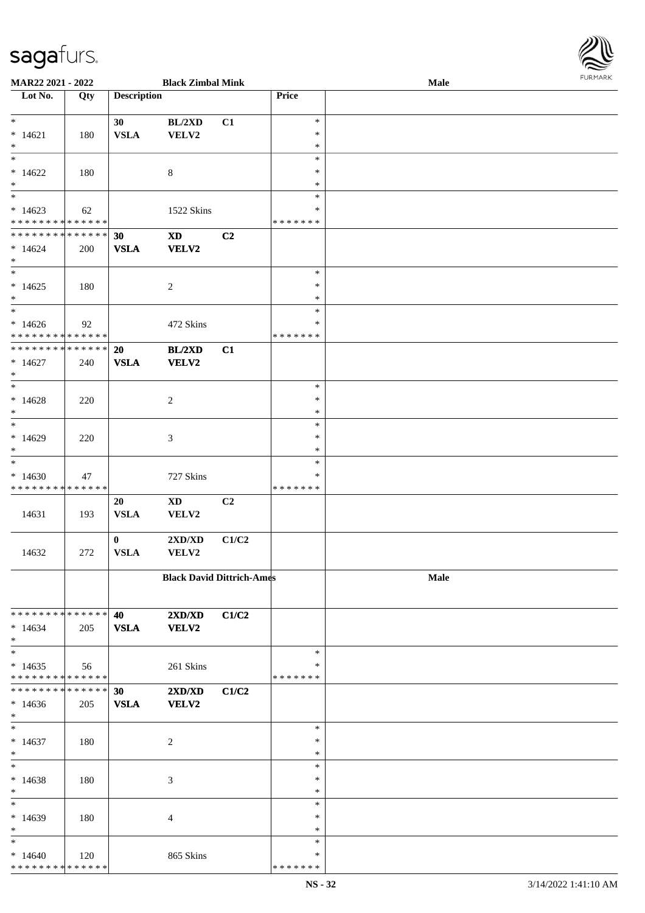\* \* \* \* \* \* \* \* \* \* \* \* \* \* \*

| MAR22 2021 - 2022                          |     |                    | <b>Black Zimbal Mink</b>         |                |               | Male | 10111111111 |
|--------------------------------------------|-----|--------------------|----------------------------------|----------------|---------------|------|-------------|
| Lot No.                                    | Qty | <b>Description</b> |                                  |                | Price         |      |             |
|                                            |     |                    |                                  |                | $\ast$        |      |             |
| $*$<br>$* 14621$                           |     | 30                 | BL/2XD                           | C1             | $\ast$        |      |             |
| $\ast$                                     | 180 | <b>VSLA</b>        | VELV2                            |                | $\ast$        |      |             |
| $*$                                        |     |                    |                                  |                | $\ast$        |      |             |
| $*14622$                                   | 180 |                    | 8                                |                | $\ast$        |      |             |
| $\ast$                                     |     |                    |                                  |                | $\ast$        |      |             |
| $\overline{\phantom{0}}$                   |     |                    |                                  |                | $\ast$        |      |             |
| $*14623$                                   | 62  |                    | 1522 Skins                       |                | ∗             |      |             |
| * * * * * * * * * * * * * *                |     |                    |                                  |                | * * * * * * * |      |             |
| * * * * * * * * <mark>* * * * * * *</mark> |     | 30                 | $\mathbf{X}\mathbf{D}$           | C2             |               |      |             |
| $* 14624$                                  | 200 | <b>VSLA</b>        | <b>VELV2</b>                     |                |               |      |             |
| $*$                                        |     |                    |                                  |                |               |      |             |
|                                            |     |                    |                                  |                | $\ast$        |      |             |
| $*14625$                                   | 180 |                    | $\sqrt{2}$                       |                | $\ast$        |      |             |
| $\ast$                                     |     |                    |                                  |                | $\ast$        |      |             |
| $\ast$                                     |     |                    |                                  |                | $\ast$        |      |             |
| $*14626$                                   | 92  |                    | 472 Skins                        |                | $\ast$        |      |             |
| * * * * * * * * <mark>* * * * * * *</mark> |     |                    |                                  |                | *******       |      |             |
| * * * * * * * * <mark>* * * * * * *</mark> |     | 20                 | BL/2XD                           | C1             |               |      |             |
| $*14627$                                   | 240 | <b>VSLA</b>        | VELV2                            |                |               |      |             |
| $\ast$<br>$\overline{\ast}$                |     |                    |                                  |                | $\ast$        |      |             |
|                                            |     |                    |                                  |                | $\ast$        |      |             |
| $*14628$<br>$\ast$                         | 220 |                    | 2                                |                | $\ast$        |      |             |
|                                            |     |                    |                                  |                | $\ast$        |      |             |
| $*14629$                                   | 220 |                    | 3                                |                | $\ast$        |      |             |
| $\ast$                                     |     |                    |                                  |                | $\ast$        |      |             |
| $\overline{\ast}$                          |     |                    |                                  |                | $\ast$        |      |             |
| $*14630$                                   | 47  |                    | 727 Skins                        |                | *             |      |             |
| * * * * * * * * <mark>* * * * * * *</mark> |     |                    |                                  |                | * * * * * * * |      |             |
|                                            |     | 20                 | $\mathbf{X}\mathbf{D}$           | C <sub>2</sub> |               |      |             |
| 14631                                      | 193 | <b>VSLA</b>        | VELV2                            |                |               |      |             |
|                                            |     |                    |                                  |                |               |      |             |
|                                            |     | $\mathbf{0}$       | 2XD/XD                           | C1/C2          |               |      |             |
| 14632                                      | 272 | <b>VSLA</b>        | VELV2                            |                |               |      |             |
|                                            |     |                    |                                  |                |               |      |             |
|                                            |     |                    | <b>Black David Dittrich-Ames</b> |                |               | Male |             |
|                                            |     |                    |                                  |                |               |      |             |
|                                            |     |                    |                                  |                |               |      |             |
| * * * * * * * * * * * * * * <mark>*</mark> |     | 40                 | 2XD/XD                           | C1/C2          |               |      |             |
| $*14634$                                   | 205 | <b>VSLA</b>        | <b>VELV2</b>                     |                |               |      |             |
| $*$<br>$\ast$                              |     |                    |                                  |                | $\ast$        |      |             |
| $*14635$                                   | 56  |                    | 261 Skins                        |                | ∗             |      |             |
| * * * * * * * * <mark>* * * * * *</mark>   |     |                    |                                  |                | * * * * * * * |      |             |
| * * * * * * * * <mark>* * * * * * *</mark> |     | 30                 | $2{\bf X}{\bf D}/{\bf X}{\bf D}$ | C1/C2          |               |      |             |
| $*14636$                                   | 205 | <b>VSLA</b>        | <b>VELV2</b>                     |                |               |      |             |
| $\ast$                                     |     |                    |                                  |                |               |      |             |
| $\ast$                                     |     |                    |                                  |                | $\ast$        |      |             |
| $*14637$                                   | 180 |                    | $\overline{c}$                   |                | $\ast$        |      |             |
| $*$                                        |     |                    |                                  |                | $\ast$        |      |             |
| $\ast$                                     |     |                    |                                  |                | $\ast$        |      |             |
| $*14638$                                   | 180 |                    | 3                                |                | $\ast$        |      |             |
| $\ast$                                     |     |                    |                                  |                | $\ast$        |      |             |
| $\ddot{x}$                                 |     |                    |                                  |                | $\ast$        |      |             |
| $*14639$                                   | 180 |                    | $\overline{4}$                   |                | $\ast$        |      |             |
| $*$                                        |     |                    |                                  |                | $\ast$        |      |             |
| $\ast$                                     |     |                    |                                  |                | $\ast$        |      |             |
| $*14640$                                   | 120 |                    | 865 Skins                        |                | $\ast$        |      |             |

\* \* \* \* \* \* \*

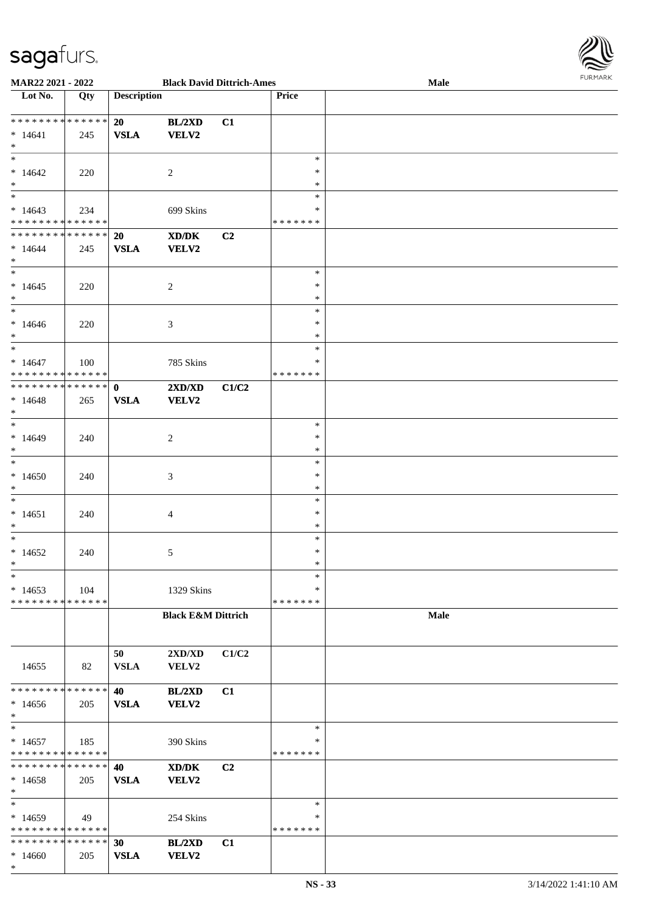

| MAR22 2021 - 2022               |     |                    | <b>Black David Dittrich-Ames</b>            |                |               | Male |  |
|---------------------------------|-----|--------------------|---------------------------------------------|----------------|---------------|------|--|
| Lot No.                         | Qty | <b>Description</b> |                                             |                | Price         |      |  |
|                                 |     |                    |                                             |                |               |      |  |
| * * * * * * * * * * * * * *     |     | 20                 | BL/2XD                                      | C1             |               |      |  |
|                                 |     |                    |                                             |                |               |      |  |
| $* 14641$                       | 245 | <b>VSLA</b>        | <b>VELV2</b>                                |                |               |      |  |
| $*$                             |     |                    |                                             |                |               |      |  |
| $*$                             |     |                    |                                             |                | $\ast$        |      |  |
| $*14642$                        | 220 |                    | 2                                           |                | ∗             |      |  |
| $*$                             |     |                    |                                             |                | ∗             |      |  |
| $\overline{\phantom{0}}$        |     |                    |                                             |                | $\ast$        |      |  |
| $*14643$                        | 234 |                    |                                             |                | ∗             |      |  |
| * * * * * * * * * * * * * *     |     |                    | 699 Skins                                   |                |               |      |  |
|                                 |     |                    |                                             |                | * * * * * * * |      |  |
| * * * * * * * * * * * * * *     |     | 20                 | $\mathbf{X}\mathbf{D}/\mathbf{D}\mathbf{K}$ | C2             |               |      |  |
| $*14644$                        | 245 | <b>VSLA</b>        | <b>VELV2</b>                                |                |               |      |  |
| $*$                             |     |                    |                                             |                |               |      |  |
| $*$                             |     |                    |                                             |                | $\ast$        |      |  |
| $*14645$                        | 220 |                    | $\overline{c}$                              |                | $\ast$        |      |  |
|                                 |     |                    |                                             |                | $\ast$        |      |  |
| $*$<br>$\overline{\phantom{0}}$ |     |                    |                                             |                |               |      |  |
|                                 |     |                    |                                             |                | $\ast$        |      |  |
| $* 14646$                       | 220 |                    | $\mathfrak{Z}$                              |                | $\ast$        |      |  |
| $*$                             |     |                    |                                             |                | $\ast$        |      |  |
| $\ast$                          |     |                    |                                             |                | $\ast$        |      |  |
| $* 14647$                       | 100 |                    | 785 Skins                                   |                | ∗             |      |  |
| * * * * * * * * * * * * * * *   |     |                    |                                             |                | *******       |      |  |
|                                 |     |                    |                                             |                |               |      |  |
| * * * * * * * * * * * * * * *   |     | $\mathbf{0}$       | 2XD/XD                                      | C1/C2          |               |      |  |
| $*14648$                        | 265 | <b>VSLA</b>        | <b>VELV2</b>                                |                |               |      |  |
| $*$                             |     |                    |                                             |                |               |      |  |
| $*$                             |     |                    |                                             |                | $\ast$        |      |  |
| $*14649$                        | 240 |                    | $\overline{c}$                              |                | ∗             |      |  |
| $*$                             |     |                    |                                             |                | $\ast$        |      |  |
|                                 |     |                    |                                             |                |               |      |  |
| $*$                             |     |                    |                                             |                | $\ast$        |      |  |
| $*14650$                        | 240 |                    | 3                                           |                | $\ast$        |      |  |
| $*$                             |     |                    |                                             |                | $\ast$        |      |  |
| $*$                             |     |                    |                                             |                | $\ast$        |      |  |
| $* 14651$                       | 240 |                    | $\overline{4}$                              |                | $\ast$        |      |  |
| $*$                             |     |                    |                                             |                | $\ast$        |      |  |
|                                 |     |                    |                                             |                |               |      |  |
| $*$                             |     |                    |                                             |                | $\ast$        |      |  |
| $*14652$                        | 240 |                    | 5                                           |                | $\ast$        |      |  |
| $*$                             |     |                    |                                             |                | $\ast$        |      |  |
| $\ast$                          |     |                    |                                             |                | $\ast$        |      |  |
| $*14653$                        | 104 |                    | 1329 Skins                                  |                | *             |      |  |
| * * * * * * * * * * * * * *     |     |                    |                                             |                | *******       |      |  |
|                                 |     |                    |                                             |                |               |      |  |
|                                 |     |                    | <b>Black E&amp;M Dittrich</b>               |                |               | Male |  |
|                                 |     |                    |                                             |                |               |      |  |
|                                 |     |                    |                                             |                |               |      |  |
|                                 |     | 50                 | 2XD/XD                                      | C1/C2          |               |      |  |
| 14655                           | 82  | <b>VSLA</b>        | VELV2                                       |                |               |      |  |
|                                 |     |                    |                                             |                |               |      |  |
| * * * * * * * * * * * * * * *   |     |                    |                                             |                |               |      |  |
|                                 |     | 40                 | BL/2XD                                      | C1             |               |      |  |
| $*14656$                        | 205 | <b>VSLA</b>        | <b>VELV2</b>                                |                |               |      |  |
| $*$                             |     |                    |                                             |                |               |      |  |
| $*$                             |     |                    |                                             |                | $\ast$        |      |  |
| $*14657$                        | 185 |                    | 390 Skins                                   |                | ∗             |      |  |
| * * * * * * * * * * * * * *     |     |                    |                                             |                | *******       |      |  |
| * * * * * * * * * * * * * * *   |     | 40                 |                                             |                |               |      |  |
|                                 |     |                    | XD/DK                                       | C <sub>2</sub> |               |      |  |
| $*14658$                        | 205 | <b>VSLA</b>        | VELV2                                       |                |               |      |  |
| $*$                             |     |                    |                                             |                |               |      |  |
| $*$                             |     |                    |                                             |                | $\ast$        |      |  |
| $*14659$                        | 49  |                    | 254 Skins                                   |                | ∗             |      |  |
| * * * * * * * * * * * * * *     |     |                    |                                             |                | *******       |      |  |
| * * * * * * * * * * * * * * *   |     | 30                 | BL/2XD                                      | C1             |               |      |  |
|                                 |     |                    |                                             |                |               |      |  |
| $*14660$                        | 205 | <b>VSLA</b>        | <b>VELV2</b>                                |                |               |      |  |
| $\ast$                          |     |                    |                                             |                |               |      |  |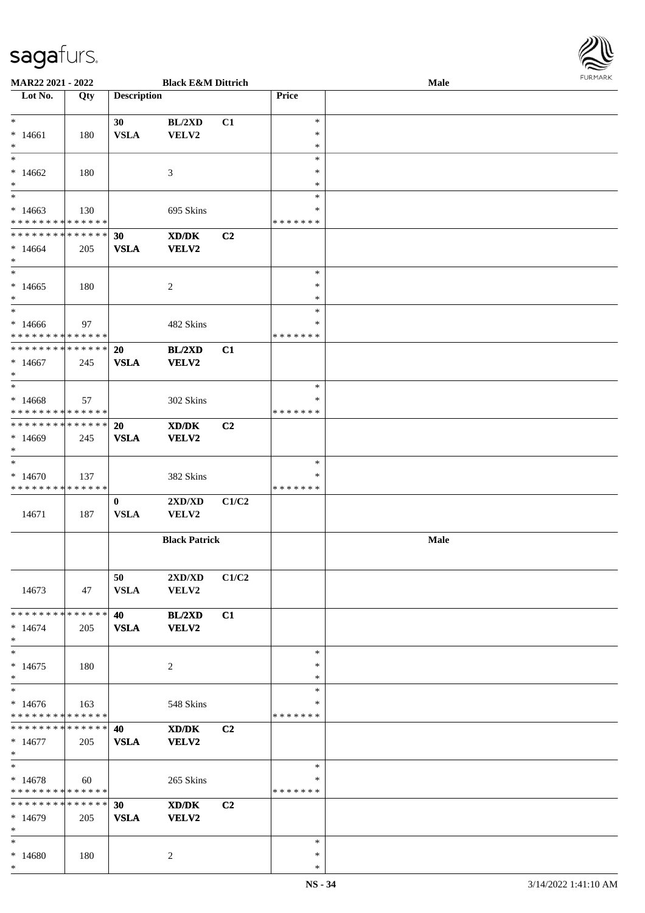

| <b>MAR22 2021 - 2022</b>                   |     |                    | <b>Black E&amp;M Dittrich</b>    |                |               | Male        |  |
|--------------------------------------------|-----|--------------------|----------------------------------|----------------|---------------|-------------|--|
| Lot No.                                    | Qty | <b>Description</b> |                                  |                | <b>Price</b>  |             |  |
|                                            |     |                    |                                  |                |               |             |  |
| $*$                                        |     | 30                 | BL/2XD                           | C1             | $\ast$        |             |  |
| $*14661$                                   | 180 | <b>VSLA</b>        | VELV2                            |                | $\ast$        |             |  |
| $\ast$                                     |     |                    |                                  |                | $\ast$        |             |  |
|                                            |     |                    |                                  |                | $\ast$        |             |  |
|                                            |     |                    |                                  |                |               |             |  |
| $*14662$                                   | 180 |                    | 3                                |                | ∗             |             |  |
| $*$                                        |     |                    |                                  |                | $\ast$        |             |  |
| $\overline{\phantom{0}}$                   |     |                    |                                  |                | $\ast$        |             |  |
| $*14663$                                   | 130 |                    | 695 Skins                        |                | $\ast$        |             |  |
| * * * * * * * * * * * * * *                |     |                    |                                  |                | * * * * * * * |             |  |
| * * * * * * * * * * * * * * *              |     | 30                 | XD/DK                            | C <sub>2</sub> |               |             |  |
| $*14664$                                   | 205 | <b>VSLA</b>        | VELV2                            |                |               |             |  |
| $*$                                        |     |                    |                                  |                |               |             |  |
| $*$                                        |     |                    |                                  |                | $\ast$        |             |  |
| $*14665$                                   |     |                    |                                  |                | $\ast$        |             |  |
|                                            | 180 |                    | 2                                |                | $\ast$        |             |  |
| $*$                                        |     |                    |                                  |                |               |             |  |
| $\ast$                                     |     |                    |                                  |                | $\ast$        |             |  |
| $*14666$                                   | 97  |                    | 482 Skins                        |                | $\ast$        |             |  |
| ******** <mark>******</mark>               |     |                    |                                  |                | *******       |             |  |
| * * * * * * * * * * * * * * *              |     | <b>20</b>          | BL/2XD                           | C1             |               |             |  |
| $*14667$                                   | 245 | <b>VSLA</b>        | VELV2                            |                |               |             |  |
| $*$                                        |     |                    |                                  |                |               |             |  |
|                                            |     |                    |                                  |                | $\ast$        |             |  |
| $*14668$                                   | 57  |                    | 302 Skins                        |                | ∗             |             |  |
| * * * * * * * * * * * * * * *              |     |                    |                                  |                | *******       |             |  |
| * * * * * * * * * * * * * * *              |     |                    |                                  |                |               |             |  |
|                                            |     | <b>20</b>          | XD/DK                            | C <sub>2</sub> |               |             |  |
| $*14669$                                   | 245 | <b>VSLA</b>        | VELV2                            |                |               |             |  |
| $*$                                        |     |                    |                                  |                |               |             |  |
| $*$                                        |     |                    |                                  |                | $\ast$        |             |  |
| $*14670$                                   | 137 |                    | 382 Skins                        |                | ∗             |             |  |
| * * * * * * * * * * * * * *                |     |                    |                                  |                | * * * * * * * |             |  |
|                                            |     | $\bf{0}$           | $2{\bf X}{\bf D}/{\bf X}{\bf D}$ | C1/C2          |               |             |  |
| 14671                                      | 187 | <b>VSLA</b>        | VELV2                            |                |               |             |  |
|                                            |     |                    |                                  |                |               |             |  |
|                                            |     |                    | <b>Black Patrick</b>             |                |               | <b>Male</b> |  |
|                                            |     |                    |                                  |                |               |             |  |
|                                            |     |                    |                                  |                |               |             |  |
|                                            |     | 50                 | $2{\bf X}{\bf D}/{\bf X}{\bf D}$ | C1/C2          |               |             |  |
| 14673                                      | 47  | <b>VSLA</b>        | VELV2                            |                |               |             |  |
|                                            |     |                    |                                  |                |               |             |  |
| * * * * * * * * * * * * * * *              |     | <b>40</b>          |                                  |                |               |             |  |
|                                            |     |                    | BL/2XD                           | C1             |               |             |  |
| $* 14674$                                  | 205 | <b>VSLA</b>        | VELV2                            |                |               |             |  |
| $*$                                        |     |                    |                                  |                |               |             |  |
| $*$                                        |     |                    |                                  |                | $\ast$        |             |  |
| $*14675$                                   | 180 |                    | 2                                |                | $\ast$        |             |  |
| $*$                                        |     |                    |                                  |                | $\ast$        |             |  |
| $*$                                        |     |                    |                                  |                | $\ast$        |             |  |
| $*14676$                                   | 163 |                    | 548 Skins                        |                | *             |             |  |
| * * * * * * * * * * * * * *                |     |                    |                                  |                | * * * * * * * |             |  |
| * * * * * * * * <mark>* * * * * * *</mark> |     | 40                 | XD/DK                            | C <sub>2</sub> |               |             |  |
| $*14677$                                   |     | <b>VSLA</b>        |                                  |                |               |             |  |
| $*$                                        | 205 |                    | <b>VELV2</b>                     |                |               |             |  |
| $*$                                        |     |                    |                                  |                | $\ast$        |             |  |
|                                            |     |                    |                                  |                |               |             |  |
| $*14678$                                   | 60  |                    | 265 Skins                        |                | ∗             |             |  |
| * * * * * * * * * * * * * * *              |     |                    |                                  |                | *******       |             |  |
| * * * * * * * * * * * * * * *              |     | 30                 | XD/DK                            | C <sub>2</sub> |               |             |  |
| $*14679$                                   | 205 | <b>VSLA</b>        | VELV2                            |                |               |             |  |
| $*$                                        |     |                    |                                  |                |               |             |  |
| $*$                                        |     |                    |                                  |                | $\ast$        |             |  |
| $*14680$                                   | 180 |                    | 2                                |                | $\ast$        |             |  |
| $*$                                        |     |                    |                                  |                | $\ast$        |             |  |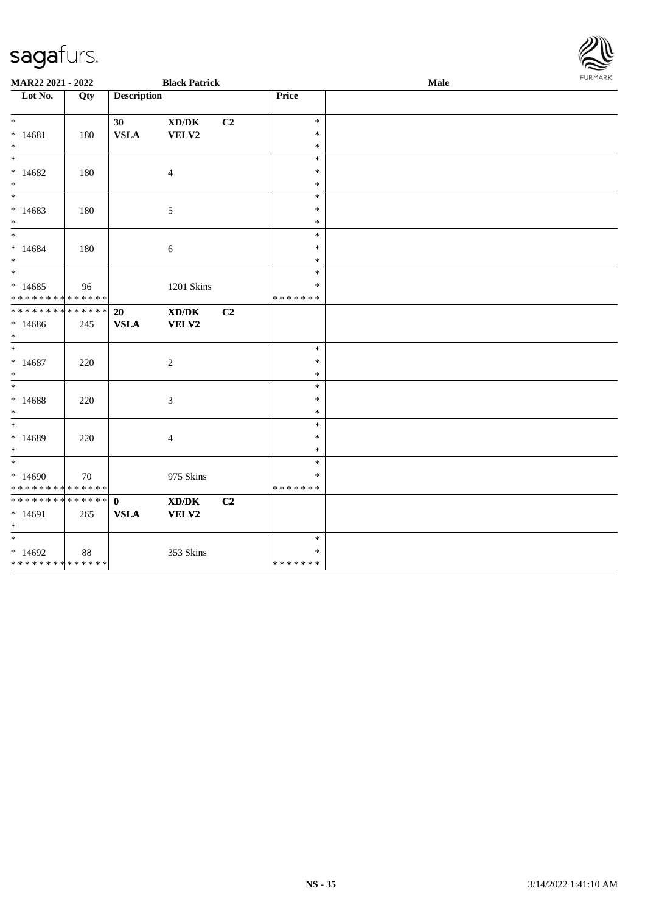| MAR22 2021 - 2022                                           |     |                             | <b>Black Patrick</b>                                 |    |                                   | Male | FURMARK |
|-------------------------------------------------------------|-----|-----------------------------|------------------------------------------------------|----|-----------------------------------|------|---------|
| Lot No.                                                     | Qty | <b>Description</b>          |                                                      |    | Price                             |      |         |
| $*$<br>$* 14681$<br>$*$                                     | 180 | 30<br><b>VSLA</b>           | $\mathbf{X}\mathbf{D}/\mathbf{D}\mathbf{K}$<br>VELV2 | C2 | $\ast$<br>$\ast$<br>$\ast$        |      |         |
| $*$<br>$*14682$<br>$*$                                      | 180 |                             | 4                                                    |    | $\ast$<br>$\ast$<br>$\ast$        |      |         |
| $*14683$<br>$*$                                             | 180 |                             | 5                                                    |    | $\ast$<br>$\ast$<br>$\ast$        |      |         |
| $* 14684$<br>$*$                                            | 180 |                             | 6                                                    |    | $\ast$<br>$\ast$<br>$\ast$        |      |         |
| $*14685$<br>* * * * * * * * * * * * * *                     | 96  |                             | 1201 Skins                                           |    | $\ast$<br>$\ast$<br>* * * * * * * |      |         |
| * * * * * * * * <mark>* * * * * *</mark><br>$*14686$<br>$*$ | 245 | 20<br><b>VSLA</b>           | XD/DK<br>VELV2                                       | C2 |                                   |      |         |
| $*$<br>$* 14687$<br>$*$                                     | 220 |                             | 2                                                    |    | $\ast$<br>$\ast$<br>$\ast$        |      |         |
| $* 14688$<br>$*$                                            | 220 |                             | 3                                                    |    | $\ast$<br>$\ast$<br>$\ast$        |      |         |
| $*$<br>* 14689<br>$*$                                       | 220 |                             | 4                                                    |    | $\ast$<br>$\ast$<br>$\ast$        |      |         |
| $*$<br>$*14690$<br>* * * * * * * * * * * * * * *            | 70  |                             | 975 Skins                                            |    | $\ast$<br>$\ast$<br>* * * * * * * |      |         |
| ******** <mark>******</mark><br>$*14691$<br>$*$             | 265 | $\mathbf{0}$<br><b>VSLA</b> | XD/DK<br><b>VELV2</b>                                | C2 |                                   |      |         |
| $*14692$<br>* * * * * * * * <mark>* * * * * * *</mark>      | 88  |                             | 353 Skins                                            |    | $\ast$<br>$\ast$<br>* * * * * * * |      |         |

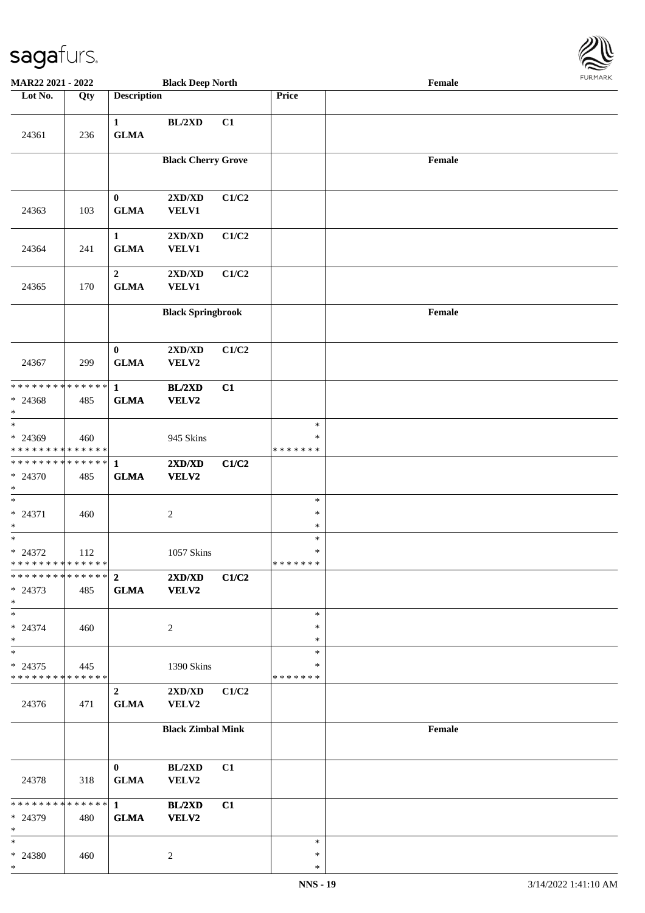

| <b>MAR22 2021 - 2022</b>                 |     |                                 | <b>Black Deep North</b>   |       |                         | Female |  |
|------------------------------------------|-----|---------------------------------|---------------------------|-------|-------------------------|--------|--|
| Lot No.                                  | Qty | <b>Description</b>              |                           |       | Price                   |        |  |
| 24361                                    | 236 | $\mathbf{1}$<br><b>GLMA</b>     | BL/2XD                    | C1    |                         |        |  |
|                                          |     |                                 |                           |       |                         |        |  |
|                                          |     |                                 | <b>Black Cherry Grove</b> |       |                         | Female |  |
| 24363                                    | 103 | $\bf{0}$<br><b>GLMA</b>         | 2XD/XD<br>VELV1           | C1/C2 |                         |        |  |
| 24364                                    | 241 | $\mathbf{1}$<br><b>GLMA</b>     | 2XD/XD<br><b>VELV1</b>    | C1/C2 |                         |        |  |
| 24365                                    | 170 | $\boldsymbol{2}$<br><b>GLMA</b> | 2XD/XD<br><b>VELV1</b>    | C1/C2 |                         |        |  |
|                                          |     |                                 | <b>Black Springbrook</b>  |       |                         | Female |  |
| 24367                                    | 299 | $\bf{0}$<br><b>GLMA</b>         | 2XD/XD<br>VELV2           | C1/C2 |                         |        |  |
| * * * * * * * * * * * * * * *            |     | $\mathbf{1}$                    | BL/2XD                    | C1    |                         |        |  |
| * 24368<br>$\ast$                        | 485 | <b>GLMA</b>                     | VELV2                     |       |                         |        |  |
| $\overline{\ast}$                        |     |                                 |                           |       | $\ast$                  |        |  |
| * 24369<br>* * * * * * * * * * * * * *   | 460 |                                 | 945 Skins                 |       | $\ast$<br>* * * * * * * |        |  |
| ******** <mark>******</mark>             |     | $\mathbf{1}$                    | 2XD/XD                    | C1/C2 |                         |        |  |
| * 24370<br>$*$                           | 485 | <b>GLMA</b>                     | VELV2                     |       |                         |        |  |
| $\ast$                                   |     |                                 |                           |       | $\ast$                  |        |  |
| $* 24371$<br>$\ast$                      | 460 |                                 | $\sqrt{2}$                |       | $\ast$<br>$\ast$        |        |  |
| $*$                                      |     |                                 |                           |       | $\ast$                  |        |  |
| $* 24372$                                | 112 |                                 | 1057 Skins                |       | $\ast$                  |        |  |
| * * * * * * * * * * * * * *              |     |                                 |                           |       | * * * * * * *           |        |  |
| $* 24373$<br>$\ast$                      | 485 | <b>GLMA</b>                     | 2XD/XD<br><b>VELV2</b>    | C1/C2 |                         |        |  |
| $*$                                      |     |                                 |                           |       | $\ast$<br>∗             |        |  |
| $* 24374$<br>$*$                         | 460 |                                 | 2                         |       | $\ast$                  |        |  |
| $*$                                      |     |                                 |                           |       | $\ast$                  |        |  |
| $* 24375$<br>* * * * * * * * * * * * * * | 445 |                                 | 1390 Skins                |       | ∗<br>* * * * * * *      |        |  |
| 24376                                    | 471 | $\mathbf{2}$<br><b>GLMA</b>     | 2XD/XD<br>VELV2           | C1/C2 |                         |        |  |
|                                          |     |                                 | <b>Black Zimbal Mink</b>  |       |                         | Female |  |
|                                          |     | $\mathbf{0}$                    | BL/2XD                    | C1    |                         |        |  |
| 24378                                    | 318 | <b>GLMA</b>                     | VELV2                     |       |                         |        |  |
| ******** <mark>******</mark>             |     | $1 \qquad \qquad$               | BL/2XD                    | C1    |                         |        |  |
| * 24379<br>$\ast$                        | 480 | <b>GLMA</b>                     | VELV2                     |       |                         |        |  |
| $*$<br>* 24380                           |     |                                 |                           |       | $\ast$<br>$\ast$        |        |  |
| $*$                                      | 460 |                                 | 2                         |       | $\ast$                  |        |  |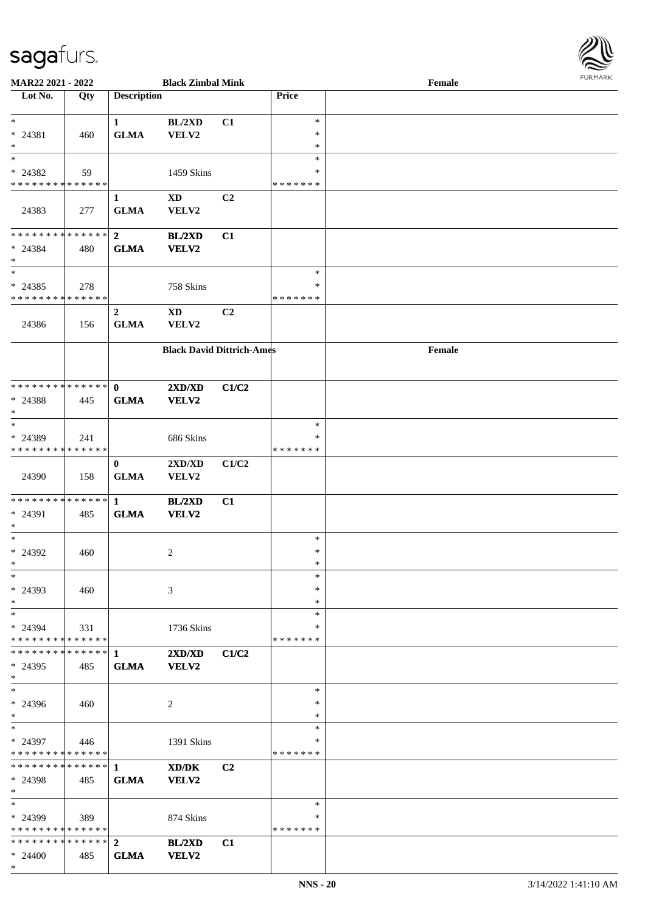

| MAR22 2021 - 2022                        |     |                    | <b>Black Zimbal Mink</b>         |                |               | Female | <b>FUNITANN</b> |
|------------------------------------------|-----|--------------------|----------------------------------|----------------|---------------|--------|-----------------|
| Lot No.                                  | Qty | <b>Description</b> |                                  |                | Price         |        |                 |
|                                          |     |                    |                                  |                |               |        |                 |
| $*$                                      |     | $\mathbf{1}$       | BL/2XD                           | C1             | $\ast$        |        |                 |
| * 24381                                  | 460 | <b>GLMA</b>        | VELV2                            |                | $\ast$        |        |                 |
| $*$                                      |     |                    |                                  |                | $\ast$        |        |                 |
| $\ast$                                   |     |                    |                                  |                | $\ast$        |        |                 |
| * 24382                                  | 59  |                    | 1459 Skins                       |                | ∗             |        |                 |
| * * * * * * * * * * * * * *              |     |                    |                                  |                | * * * * * * * |        |                 |
|                                          |     | $\mathbf{1}$       | $\mathbf{X}\mathbf{D}$           | C2             |               |        |                 |
| 24383                                    | 277 | <b>GLMA</b>        | VELV2                            |                |               |        |                 |
|                                          |     |                    |                                  |                |               |        |                 |
| * * * * * * * * * * * * * * *            |     | $\mathbf{2}$       | <b>BL/2XD</b>                    | C1             |               |        |                 |
| $* 24384$                                | 480 | <b>GLMA</b>        | <b>VELV2</b>                     |                |               |        |                 |
| $*$                                      |     |                    |                                  |                |               |        |                 |
| $\overline{\phantom{0}}$                 |     |                    |                                  |                | $\ast$        |        |                 |
|                                          |     |                    |                                  |                | $\ast$        |        |                 |
| $* 24385$<br>* * * * * * * * * * * * * * | 278 |                    | 758 Skins                        |                | * * * * * * * |        |                 |
|                                          |     |                    |                                  |                |               |        |                 |
|                                          |     | $\overline{2}$     | $\mathbf{X}\mathbf{D}$           | C2             |               |        |                 |
| 24386                                    | 156 | <b>GLMA</b>        | VELV2                            |                |               |        |                 |
|                                          |     |                    |                                  |                |               |        |                 |
|                                          |     |                    | <b>Black David Dittrich-Ames</b> |                |               | Female |                 |
|                                          |     |                    |                                  |                |               |        |                 |
|                                          |     |                    |                                  |                |               |        |                 |
| ******** <mark>******</mark>             |     | $\mathbf{0}$       | 2XD/XD                           | C1/C2          |               |        |                 |
| $* 24388$                                | 445 | <b>GLMA</b>        | VELV2                            |                |               |        |                 |
| $\ast$                                   |     |                    |                                  |                |               |        |                 |
| $\ast$                                   |     |                    |                                  |                | $\ast$        |        |                 |
| * 24389                                  | 241 |                    | 686 Skins                        |                | ∗             |        |                 |
| * * * * * * * * * * * * * *              |     |                    |                                  |                | * * * * * * * |        |                 |
|                                          |     | $\bf{0}$           | 2XD/XD                           | C1/C2          |               |        |                 |
| 24390                                    | 158 | <b>GLMA</b>        | VELV2                            |                |               |        |                 |
|                                          |     |                    |                                  |                |               |        |                 |
| * * * * * * * * * * * * * *              |     | $\mathbf{1}$       | BL/2XD                           | C1             |               |        |                 |
| * 24391                                  | 485 | <b>GLMA</b>        | VELV2                            |                |               |        |                 |
| $*$                                      |     |                    |                                  |                |               |        |                 |
| $*$                                      |     |                    |                                  |                | $\ast$        |        |                 |
| $* 24392$                                | 460 |                    | $\overline{c}$                   |                | $\ast$        |        |                 |
| $*$ $-$                                  |     |                    |                                  |                | $\ast$        |        |                 |
| $\ast$                                   |     |                    |                                  |                | $\ast$        |        |                 |
| $* 24393$                                | 460 |                    | 3                                |                | $\ast$        |        |                 |
| $*$                                      |     |                    |                                  |                | $\ast$        |        |                 |
| $\ast$                                   |     |                    |                                  |                | $\ast$        |        |                 |
| * 24394                                  | 331 |                    | 1736 Skins                       |                | ∗             |        |                 |
| * * * * * * * * * * * * * *              |     |                    |                                  |                | * * * * * * * |        |                 |
| ******** <mark>******</mark>             |     | $\mathbf 1$        | 2XD/XD                           | C1/C2          |               |        |                 |
| $* 24395$                                | 485 | <b>GLMA</b>        | <b>VELV2</b>                     |                |               |        |                 |
| $*$                                      |     |                    |                                  |                |               |        |                 |
| $\ast$                                   |     |                    |                                  |                | $\ast$        |        |                 |
| * 24396                                  | 460 |                    | 2                                |                | ∗             |        |                 |
| $*$                                      |     |                    |                                  |                | $\ast$        |        |                 |
| $\ast$                                   |     |                    |                                  |                | $\ast$        |        |                 |
| $* 24397$                                | 446 |                    | 1391 Skins                       |                | ∗             |        |                 |
| * * * * * * * * * * * * * *              |     |                    |                                  |                | * * * * * * * |        |                 |
| ************** 1                         |     |                    | XD/DK                            | C <sub>2</sub> |               |        |                 |
| * 24398                                  | 485 | <b>GLMA</b>        | VELV2                            |                |               |        |                 |
| $*$                                      |     |                    |                                  |                |               |        |                 |
| $\ast$                                   |     |                    |                                  |                | $\ast$        |        |                 |
| * 24399                                  | 389 |                    | 874 Skins                        |                | ∗             |        |                 |
| * * * * * * * * * * * * * *              |     |                    |                                  |                | * * * * * * * |        |                 |
| * * * * * * * * * * * * * * *            |     | $\mathbf{2}$       | BL/2XD                           | C1             |               |        |                 |
| $* 24400$                                | 485 | <b>GLMA</b>        | VELV2                            |                |               |        |                 |
| $*$                                      |     |                    |                                  |                |               |        |                 |
|                                          |     |                    |                                  |                |               |        |                 |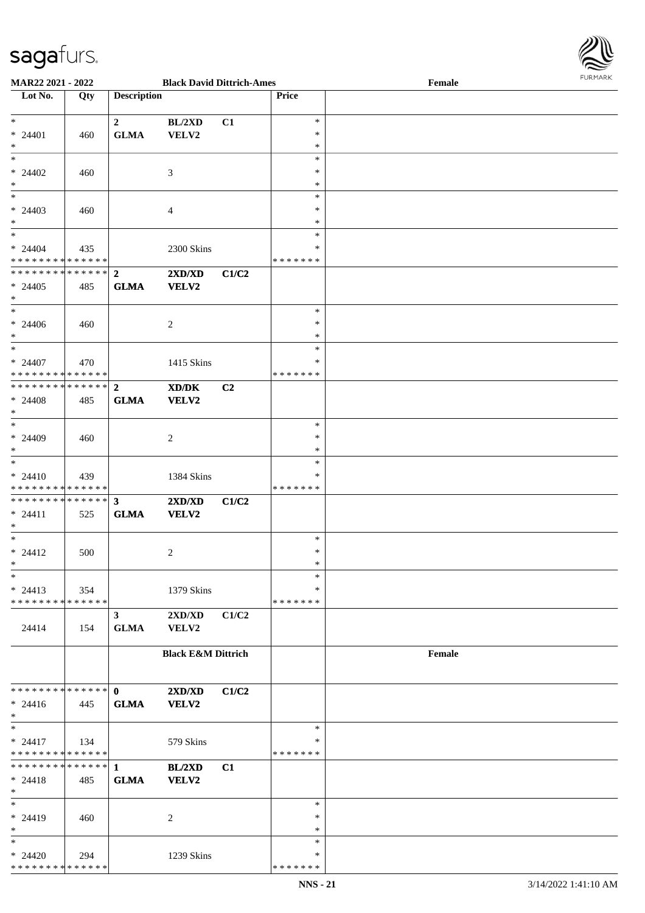

| MAR22 2021 - 2022                  |       |                    | <b>Black David Dittrich-Ames</b> |       |                  | Female |
|------------------------------------|-------|--------------------|----------------------------------|-------|------------------|--------|
| $\overline{\phantom{1}}$ Lot No.   | Qty   | <b>Description</b> |                                  |       | Price            |        |
|                                    |       |                    |                                  |       |                  |        |
| $*$                                |       | $\overline{2}$     | BL/2XD                           | C1    | $\ast$           |        |
| $* 24401$                          | 460   | ${\bf GLMA}$       | VELV2                            |       | $\ast$           |        |
| $\ast$                             |       |                    |                                  |       | $\ast$           |        |
| $\ast$                             |       |                    |                                  |       | $\ast$           |        |
| $* 24402$                          | 460   |                    | 3                                |       | $\ast$           |        |
| $\ast$<br>$\overline{\phantom{0}}$ |       |                    |                                  |       | $\ast$<br>$\ast$ |        |
|                                    |       |                    |                                  |       | ∗                |        |
| $* 24403$<br>$\ast$                | 460   |                    | $\overline{4}$                   |       | $\ast$           |        |
| $\overline{\ast}$                  |       |                    |                                  |       | $\ast$           |        |
| $* 24404$                          | 435   |                    | 2300 Skins                       |       | *                |        |
| * * * * * * * * * * * * * * *      |       |                    |                                  |       | * * * * * * *    |        |
| **************                     |       | $\overline{2}$     | 2XD/XD                           | C1/C2 |                  |        |
| $* 24405$                          | 485   | <b>GLMA</b>        | <b>VELV2</b>                     |       |                  |        |
| $\ast$                             |       |                    |                                  |       |                  |        |
| $\overline{\ast}$                  |       |                    |                                  |       | $\ast$           |        |
| $* 24406$                          | 460   |                    | $\overline{2}$                   |       | $\ast$           |        |
| $\ast$                             |       |                    |                                  |       | $\ast$           |        |
| $\ast$                             |       |                    |                                  |       | $\ast$           |        |
| $* 24407$                          | 470   |                    | 1415 Skins                       |       | *                |        |
| * * * * * * * * * * * * * * *      |       |                    |                                  |       | * * * * * * *    |        |
| **************                     |       | $\mathbf{2}$       | XD/DK                            | C2    |                  |        |
| $* 24408$                          | 485   | <b>GLMA</b>        | <b>VELV2</b>                     |       |                  |        |
| $\ast$                             |       |                    |                                  |       |                  |        |
| $\overline{\phantom{a}^*}$         |       |                    |                                  |       | $\ast$           |        |
| $* 24409$                          | 460   |                    | $\overline{2}$                   |       | $\ast$           |        |
| $\ast$                             |       |                    |                                  |       | $\ast$           |        |
| $\ast$                             |       |                    |                                  |       | $\ast$           |        |
| $* 24410$                          | 439   |                    | 1384 Skins                       |       | *                |        |
| * * * * * * * * * * * * * *        |       |                    |                                  |       | * * * * * * *    |        |
| * * * * * * * * * * * * * * *      |       | $\mathbf{3}$       | 2XD/XD                           | C1/C2 |                  |        |
| $* 24411$                          | 525   | <b>GLMA</b>        | VELV2                            |       |                  |        |
| $\ast$                             |       |                    |                                  |       |                  |        |
| $\ast$                             |       |                    |                                  |       | $\ast$           |        |
| $* 24412$                          | 500   |                    | $\overline{2}$                   |       | $\ast$           |        |
| $*$                                |       |                    |                                  |       | $\ast$           |        |
| $\ast$                             |       |                    |                                  |       | $\ast$           |        |
| $* 24413$                          | 354   |                    | 1379 Skins                       |       | *                |        |
| * * * * * * * * * * * * * * *      |       |                    |                                  |       | * * * * * * *    |        |
|                                    |       | $\mathbf{3}$       | $2{\bf X}{\bf D}/{\bf X}{\bf D}$ | C1/C2 |                  |        |
| 24414                              | 154   | <b>GLMA</b>        | VELV2                            |       |                  |        |
|                                    |       |                    |                                  |       |                  |        |
|                                    |       |                    | <b>Black E&amp;M Dittrich</b>    |       |                  | Female |
|                                    |       |                    |                                  |       |                  |        |
| * * * * * * * * * * * * * * *      |       | $\mathbf{0}$       | 2XD/XD                           | C1/C2 |                  |        |
| $* 24416$                          | - 445 | <b>GLMA</b>        | VELV2                            |       |                  |        |
| $*$                                |       |                    |                                  |       |                  |        |
| $\ast$                             |       |                    |                                  |       | $\ast$           |        |
| $* 24417$                          | 134   |                    | 579 Skins                        |       | *                |        |
| * * * * * * * * * * * * * *        |       |                    |                                  |       | * * * * * * *    |        |
| ******** <mark>******</mark> 1     |       |                    | BL/2XD                           | C1    |                  |        |
| $* 24418$                          | 485   | <b>GLMA</b>        | VELV2                            |       |                  |        |
| $\ast$                             |       |                    |                                  |       |                  |        |
| $\ast$                             |       |                    |                                  |       | $\ast$           |        |
| $* 24419$                          | 460   |                    | 2                                |       | $\ast$           |        |
| $\ast$                             |       |                    |                                  |       | $\ast$           |        |
| $\ast$                             |       |                    |                                  |       | ∗                |        |
| $* 24420$                          | 294   |                    | 1239 Skins                       |       | ∗                |        |
| * * * * * * * * * * * * * *        |       |                    |                                  |       | * * * * * * *    |        |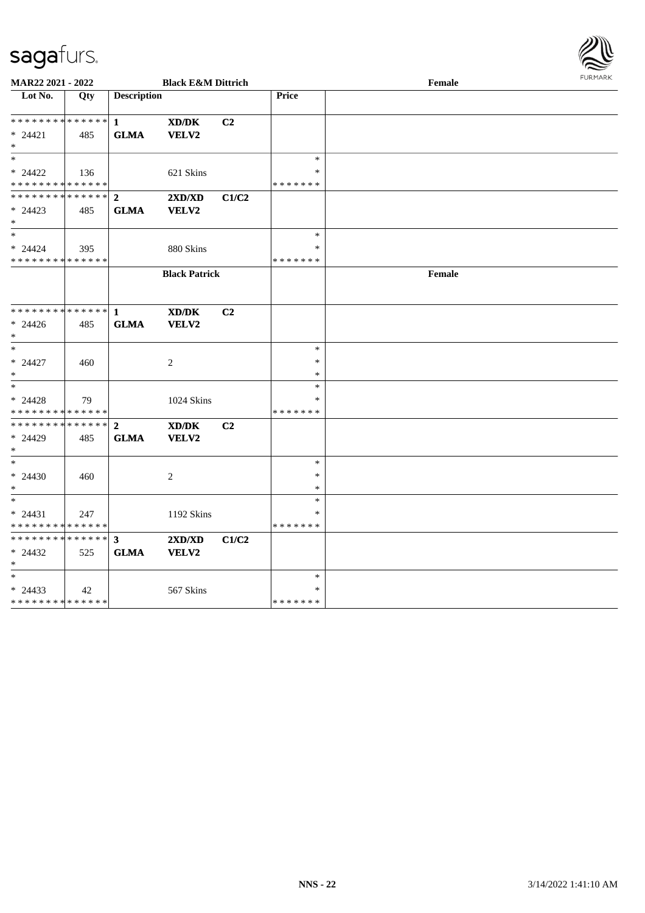

| MAR22 2021 - 2022             |     |                    | <b>Black E&amp;M Dittrich</b> |       |                  | Female | <b>FURPIARR</b> |
|-------------------------------|-----|--------------------|-------------------------------|-------|------------------|--------|-----------------|
| Lot No.                       | Qty | <b>Description</b> |                               |       | <b>Price</b>     |        |                 |
|                               |     |                    |                               |       |                  |        |                 |
| * * * * * * * * * * * * * * * |     | $\mathbf{1}$       | XD/DK                         | C2    |                  |        |                 |
| $* 24421$                     | 485 | <b>GLMA</b>        | VELV2                         |       |                  |        |                 |
| $*$                           |     |                    |                               |       |                  |        |                 |
| $*$                           |     |                    |                               |       | $\ast$           |        |                 |
| $* 24422$                     | 136 |                    | 621 Skins                     |       | $\ast$           |        |                 |
| * * * * * * * * * * * * * *   |     |                    |                               |       | *******          |        |                 |
| * * * * * * * * * * * * * * * |     | $\overline{2}$     | 2XD/XD                        | C1/C2 |                  |        |                 |
| $* 24423$<br>$*$              | 485 | <b>GLMA</b>        | VELV2                         |       |                  |        |                 |
| $*$                           |     |                    |                               |       | $\ast$           |        |                 |
| $* 24424$                     | 395 |                    | 880 Skins                     |       | $\ast$           |        |                 |
| * * * * * * * * * * * * * *   |     |                    |                               |       | *******          |        |                 |
|                               |     |                    | <b>Black Patrick</b>          |       |                  | Female |                 |
|                               |     |                    |                               |       |                  |        |                 |
|                               |     |                    |                               |       |                  |        |                 |
| * * * * * * * * * * * * * * * |     | $\mathbf{1}$       | XD/DK                         | C2    |                  |        |                 |
| $* 24426$                     | 485 | <b>GLMA</b>        | VELV2                         |       |                  |        |                 |
| $*$                           |     |                    |                               |       |                  |        |                 |
| $*$                           |     |                    |                               |       | $\ast$           |        |                 |
| $* 24427$                     | 460 |                    | 2                             |       | $\ast$           |        |                 |
| $*$                           |     |                    |                               |       | $\ast$           |        |                 |
| $*$                           |     |                    |                               |       | $\ast$           |        |                 |
| $* 24428$                     | 79  |                    | 1024 Skins                    |       | *                |        |                 |
| * * * * * * * * * * * * * *   |     |                    |                               |       | * * * * * * *    |        |                 |
| * * * * * * * * * * * * * * * |     | $\overline{2}$     | XD/DK                         | C2    |                  |        |                 |
| * 24429                       | 485 | <b>GLMA</b>        | VELV2                         |       |                  |        |                 |
| $*$<br>$*$                    |     |                    |                               |       |                  |        |                 |
|                               |     |                    |                               |       | $\ast$<br>$\ast$ |        |                 |
| $* 24430$<br>$*$              | 460 |                    | 2                             |       | $\ast$           |        |                 |
| $*$                           |     |                    |                               |       | $\ast$           |        |                 |
| $* 24431$                     | 247 |                    | 1192 Skins                    |       | $\ast$           |        |                 |
| * * * * * * * * * * * * * *   |     |                    |                               |       | *******          |        |                 |
| * * * * * * * * * * * * * * * |     | $\mathbf{3}$       | 2XD/XD                        | C1/C2 |                  |        |                 |
| $* 24432$                     | 525 | <b>GLMA</b>        | VELV2                         |       |                  |        |                 |
| $*$                           |     |                    |                               |       |                  |        |                 |
| $*$                           |     |                    |                               |       | $\ast$           |        |                 |
| $* 24433$                     | 42  |                    | 567 Skins                     |       | $\ast$           |        |                 |
| * * * * * * * * * * * * * *   |     |                    |                               |       | *******          |        |                 |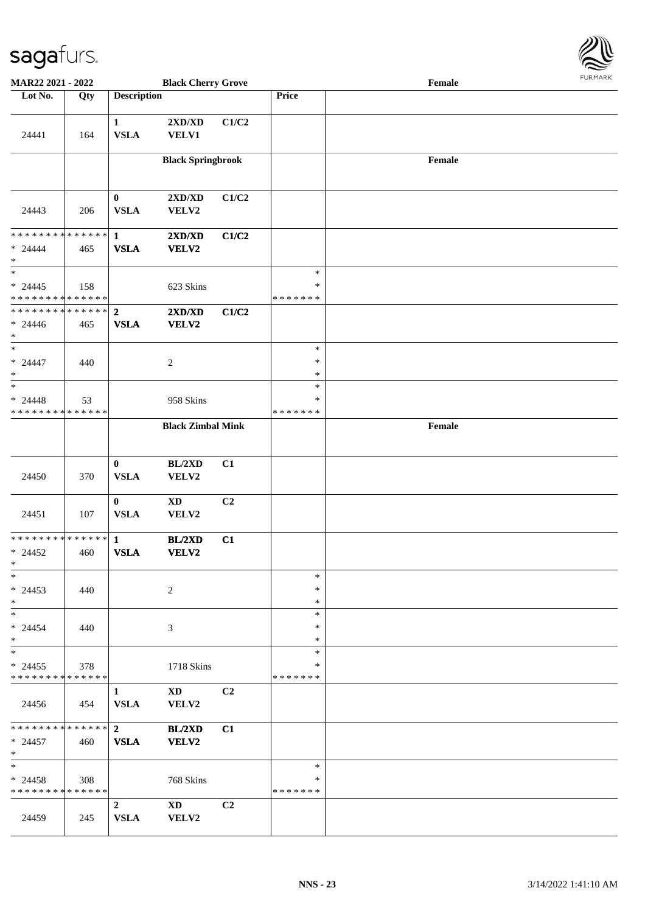

| MAR22 2021 - 2022                                    |     |                               | <b>Black Cherry Grove</b>                        |                |                                   | Female |  |
|------------------------------------------------------|-----|-------------------------------|--------------------------------------------------|----------------|-----------------------------------|--------|--|
| Lot No.                                              | Qty | <b>Description</b>            |                                                  |                | Price                             |        |  |
| 24441                                                | 164 | $\mathbf{1}$<br><b>VSLA</b>   | $2{\bf X}{\bf D}/{\bf X}{\bf D}$<br><b>VELV1</b> | C1/C2          |                                   |        |  |
|                                                      |     |                               | <b>Black Springbrook</b>                         |                |                                   | Female |  |
| 24443                                                | 206 | $\bf{0}$<br><b>VSLA</b>       | 2XD/XD<br>VELV2                                  | C1/C2          |                                   |        |  |
| * * * * * * * * * * * * * * *<br>$* 24444$<br>$\ast$ | 465 | $\mathbf{1}$<br><b>VSLA</b>   | 2XD/XD<br>VELV2                                  | C1/C2          |                                   |        |  |
| $*$<br>$* 24445$<br>* * * * * * * * * * * * * *      | 158 |                               | 623 Skins                                        |                | $\ast$<br>$\ast$<br>* * * * * * * |        |  |
| * * * * * * * * * * * * * * *<br>$* 24446$<br>$\ast$ | 465 | $\overline{2}$<br><b>VSLA</b> | 2XD/XD<br>VELV2                                  | C1/C2          |                                   |        |  |
| $\ast$<br>$* 24447$<br>$\ast$                        | 440 |                               | $\boldsymbol{2}$                                 |                | $\ast$<br>$\ast$<br>$\ast$        |        |  |
| $\ast$<br>$* 24448$<br>* * * * * * * * * * * * * *   | 53  |                               | 958 Skins                                        |                | $\ast$<br>$\ast$<br>* * * * * * * |        |  |
|                                                      |     |                               | <b>Black Zimbal Mink</b>                         |                |                                   | Female |  |
| 24450                                                | 370 | $\bf{0}$<br><b>VSLA</b>       | BL/2XD<br>VELV2                                  | C1             |                                   |        |  |
| 24451                                                | 107 | $\bf{0}$<br><b>VSLA</b>       | $\mathbf{X}\mathbf{D}$<br>VELV2                  | C2             |                                   |        |  |
| * * * * * * * * * * * * * * *<br>$* 24452$<br>$\ast$ | 460 | $\mathbf{1}$<br><b>VSLA</b>   | <b>BL/2XD</b><br>VELV2                           | C1             |                                   |        |  |
| $*$<br>$* 24453$<br>$*$                              | 440 |                               | 2                                                |                | $\ast$<br>∗<br>$\ast$             |        |  |
| $*$<br>$* 24454$<br>$*$                              | 440 |                               | 3                                                |                | $\ast$<br>*<br>$\ast$             |        |  |
| $*$<br>$* 24455$<br>* * * * * * * * * * * * * *      | 378 |                               | 1718 Skins                                       |                | $\ast$<br>*<br>* * * * * * *      |        |  |
| 24456                                                | 454 | $\mathbf{1}$<br><b>VSLA</b>   | $\mathbf{X}\mathbf{D}$<br>VELV2                  | C <sub>2</sub> |                                   |        |  |
| * * * * * * * * * * * * * * *<br>$* 24457$<br>$*$    | 460 | $\mathbf{2}$<br><b>VSLA</b>   | <b>BL/2XD</b><br>VELV2                           | C1             |                                   |        |  |
| $*$<br>$* 24458$<br>* * * * * * * * * * * * * *      | 308 |                               | 768 Skins                                        |                | $\ast$<br>$\ast$<br>* * * * * * * |        |  |
| 24459                                                | 245 | $\overline{2}$<br><b>VSLA</b> | <b>XD</b><br>VELV2                               | C2             |                                   |        |  |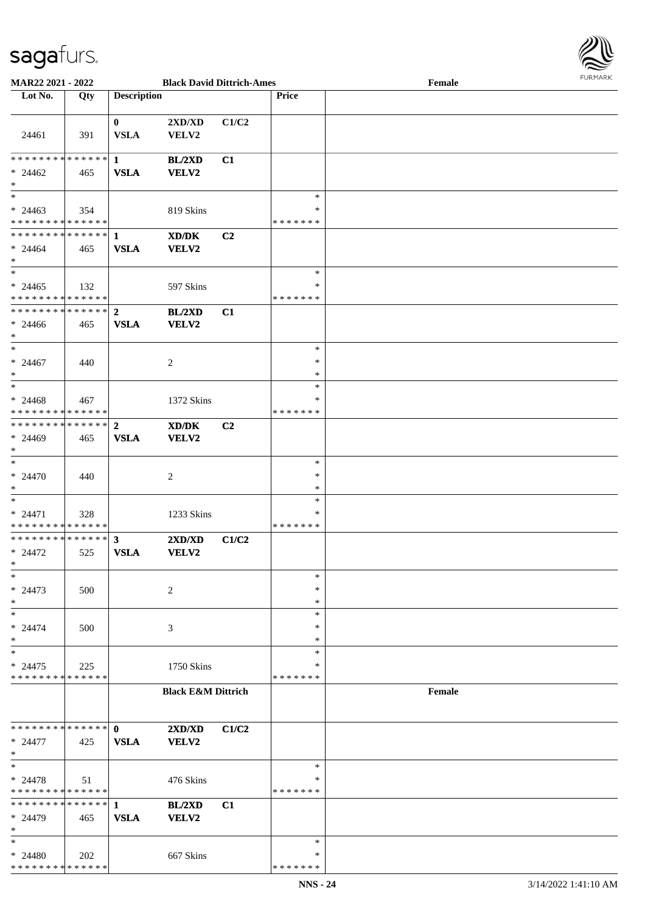

| MAR22 2021 - 2022             |     |                         | <b>Black David Dittrich-Ames</b> |                |               | Female |  |
|-------------------------------|-----|-------------------------|----------------------------------|----------------|---------------|--------|--|
| Lot No.                       | Qty | <b>Description</b>      |                                  |                | Price         |        |  |
|                               |     |                         |                                  |                |               |        |  |
|                               |     | $\bf{0}$                | 2XD/XD                           | C1/C2          |               |        |  |
| 24461                         | 391 | <b>VSLA</b>             | VELV2                            |                |               |        |  |
|                               |     |                         |                                  |                |               |        |  |
| * * * * * * * * * * * * * * * |     | $\mathbf{1}$            | <b>BL/2XD</b>                    | C1             |               |        |  |
| $* 24462$                     | 465 | <b>VSLA</b>             | <b>VELV2</b>                     |                |               |        |  |
| $\ast$                        |     |                         |                                  |                |               |        |  |
| $\overline{\ast}$             |     |                         |                                  |                | $\ast$        |        |  |
| $* 24463$                     | 354 |                         | 819 Skins                        |                | ∗             |        |  |
| * * * * * * * * * * * * * *   |     |                         |                                  |                | * * * * * * * |        |  |
| **************                |     | $\mathbf{1}$            | XD/DK                            | C <sub>2</sub> |               |        |  |
| $* 24464$                     | 465 | <b>VSLA</b>             | <b>VELV2</b>                     |                |               |        |  |
| $\ast$                        |     |                         |                                  |                |               |        |  |
| $\ast$                        |     |                         |                                  |                | $\ast$        |        |  |
| $* 24465$                     | 132 |                         | 597 Skins                        |                | $\ast$        |        |  |
| * * * * * * * * * * * * * *   |     |                         |                                  |                | * * * * * * * |        |  |
| * * * * * * * * * * * * * *   |     | $\mathbf{2}$            | BL/2XD                           | C1             |               |        |  |
| $* 24466$                     | 465 | <b>VSLA</b>             | VELV2                            |                |               |        |  |
| $\ast$                        |     |                         |                                  |                |               |        |  |
| $\ast$                        |     |                         |                                  |                | $\ast$        |        |  |
| $* 24467$                     | 440 |                         | 2                                |                | $\ast$        |        |  |
| $\ast$                        |     |                         |                                  |                | $\ast$        |        |  |
| $\ast$                        |     |                         |                                  |                | $\ast$        |        |  |
| $* 24468$                     | 467 |                         | 1372 Skins                       |                | ∗             |        |  |
| * * * * * * * * * * * * * *   |     |                         |                                  |                | * * * * * * * |        |  |
| * * * * * * * * * * * * * * * |     | $\boldsymbol{2}$        | XD/DK                            | C2             |               |        |  |
| $* 24469$                     | 465 | <b>VSLA</b>             | VELV2                            |                |               |        |  |
| $\ast$                        |     |                         |                                  |                |               |        |  |
| $\ast$                        |     |                         |                                  |                | $\ast$        |        |  |
| $* 24470$                     | 440 |                         | $\overline{c}$                   |                | $\ast$        |        |  |
| $\ast$                        |     |                         |                                  |                | $\ast$        |        |  |
| $\ast$                        |     |                         |                                  |                | $\ast$        |        |  |
| $* 24471$                     | 328 |                         | 1233 Skins                       |                | $\ast$        |        |  |
| * * * * * * * * * * * * * *   |     |                         |                                  |                | * * * * * * * |        |  |
| **************                |     | $\overline{\mathbf{3}}$ | 2XD/XD                           | C1/C2          |               |        |  |
| $* 24472$<br>$*$              | 525 | <b>VSLA</b>             | VELV2                            |                |               |        |  |
| $\ast$                        |     |                         |                                  |                | $\ast$        |        |  |
| $* 24473$                     |     |                         | 2                                |                | $\ast$        |        |  |
| $\ast$                        | 500 |                         |                                  |                | $\ast$        |        |  |
| $\ast$                        |     |                         |                                  |                | $\ast$        |        |  |
|                               |     |                         |                                  |                | ∗             |        |  |
| $* 24474$<br>$\ast$           | 500 |                         | 3                                |                | ∗             |        |  |
| $\ast$                        |     |                         |                                  |                | $\ast$        |        |  |
| $* 24475$                     | 225 |                         | 1750 Skins                       |                | ∗             |        |  |
| * * * * * * * * * * * * * *   |     |                         |                                  |                | * * * * * * * |        |  |
|                               |     |                         | <b>Black E&amp;M Dittrich</b>    |                |               | Female |  |
|                               |     |                         |                                  |                |               |        |  |
|                               |     |                         |                                  |                |               |        |  |
| * * * * * * * * * * * * * * * |     | $\mathbf{0}$            | 2XD/XD                           | C1/C2          |               |        |  |
| $* 24477$                     | 425 | <b>VSLA</b>             | VELV2                            |                |               |        |  |
| $\ast$                        |     |                         |                                  |                |               |        |  |
| $\ast$                        |     |                         |                                  |                | $\ast$        |        |  |
| $* 24478$                     | 51  |                         | 476 Skins                        |                | ∗             |        |  |
| * * * * * * * * * * * * * *   |     |                         |                                  |                | * * * * * * * |        |  |
| * * * * * * * * * * * * * * * |     | 1                       | <b>BL/2XD</b>                    | C1             |               |        |  |
| * 24479                       | 465 | <b>VSLA</b>             | VELV2                            |                |               |        |  |
| $\ast$                        |     |                         |                                  |                |               |        |  |
| $\ast$                        |     |                         |                                  |                | $\ast$        |        |  |
| $* 24480$                     | 202 |                         | 667 Skins                        |                | ∗             |        |  |
| * * * * * * * * * * * * * *   |     |                         |                                  |                | * * * * * * * |        |  |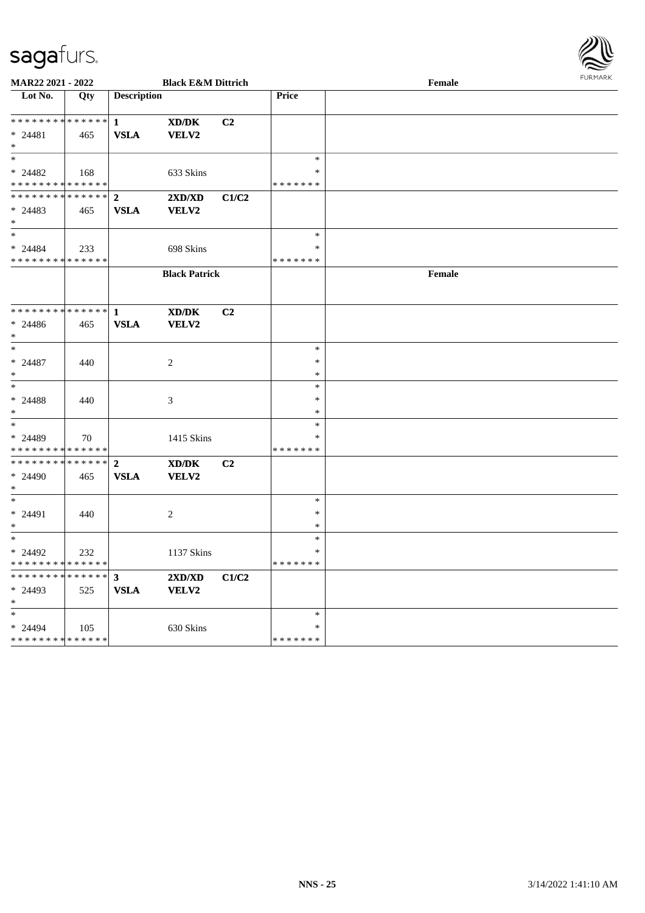

| <b>MAR22 2021 - 2022</b>                   | <b>Black E&amp;M Dittrich</b> |                    |                                             |                |               | Female |  |  |  |  |
|--------------------------------------------|-------------------------------|--------------------|---------------------------------------------|----------------|---------------|--------|--|--|--|--|
| Lot No.                                    | Qty                           | <b>Description</b> |                                             |                | <b>Price</b>  |        |  |  |  |  |
|                                            |                               |                    |                                             |                |               |        |  |  |  |  |
| * * * * * * * * <mark>* * * * * * *</mark> |                               | $\mathbf{1}$       | XD/DK                                       | C <sub>2</sub> |               |        |  |  |  |  |
| $* 24481$                                  | 465                           | <b>VSLA</b>        | VELV2                                       |                |               |        |  |  |  |  |
|                                            |                               |                    |                                             |                |               |        |  |  |  |  |
| $\ast$                                     |                               |                    |                                             |                | $\ast$        |        |  |  |  |  |
| $* 24482$                                  | 168                           |                    | 633 Skins                                   |                | $\ast$        |        |  |  |  |  |
| * * * * * * * * <mark>* * * * * * *</mark> |                               |                    |                                             |                | * * * * * * * |        |  |  |  |  |
| * * * * * * * * <mark>* * * * * *</mark>   |                               | $\mathbf{2}$       | 2XD/XD                                      | C1/C2          |               |        |  |  |  |  |
| $* 24483$                                  | 465                           | <b>VSLA</b>        | <b>VELV2</b>                                |                |               |        |  |  |  |  |
|                                            |                               |                    |                                             |                |               |        |  |  |  |  |
| $\ast$                                     |                               |                    |                                             |                | $\ast$        |        |  |  |  |  |
| $* 24484$                                  | 233                           |                    | 698 Skins                                   |                | $\ast$        |        |  |  |  |  |
| * * * * * * * * * * * * * *                |                               |                    |                                             |                | * * * * * * * |        |  |  |  |  |
|                                            |                               |                    | <b>Black Patrick</b>                        |                |               | Female |  |  |  |  |
|                                            |                               |                    |                                             |                |               |        |  |  |  |  |
| * * * * * * * * * * * * * * <mark>*</mark> |                               |                    |                                             |                |               |        |  |  |  |  |
|                                            |                               | $\mathbf{1}$       | XD/DK<br>VELV2                              | C <sub>2</sub> |               |        |  |  |  |  |
| $* 24486$<br>$\ast$                        | 465                           | <b>VSLA</b>        |                                             |                |               |        |  |  |  |  |
| $\ast$                                     |                               |                    |                                             |                | $\ast$        |        |  |  |  |  |
| $* 24487$                                  |                               |                    |                                             |                | $\ast$        |        |  |  |  |  |
| $\ast$                                     | 440                           |                    | $\overline{c}$                              |                | $\ast$        |        |  |  |  |  |
| $\ast$                                     |                               |                    |                                             |                | $\ast$        |        |  |  |  |  |
| $* 24488$                                  | 440                           |                    | 3                                           |                | $\ast$        |        |  |  |  |  |
| $\ast$                                     |                               |                    |                                             |                | $\ast$        |        |  |  |  |  |
| $\ast$                                     |                               |                    |                                             |                | $\ast$        |        |  |  |  |  |
| * 24489                                    | 70                            |                    | 1415 Skins                                  |                | ∗             |        |  |  |  |  |
| * * * * * * * * * * * * * *                |                               |                    |                                             |                | * * * * * * * |        |  |  |  |  |
| * * * * * * * *                            | ******                        | $\mathbf{2}$       | $\mathbf{X}\mathbf{D}/\mathbf{D}\mathbf{K}$ | C <sub>2</sub> |               |        |  |  |  |  |
| $* 24490$                                  | 465                           | <b>VSLA</b>        | <b>VELV2</b>                                |                |               |        |  |  |  |  |
| *                                          |                               |                    |                                             |                |               |        |  |  |  |  |
| $\ast$                                     |                               |                    |                                             |                | $\ast$        |        |  |  |  |  |
| $* 24491$                                  | 440                           |                    | 2                                           |                | $\ast$        |        |  |  |  |  |
| $\ast$                                     |                               |                    |                                             |                | $\ast$        |        |  |  |  |  |
| $\ast$                                     |                               |                    |                                             |                | $\ast$        |        |  |  |  |  |
| $* 24492$                                  | 232                           |                    | 1137 Skins                                  |                | $\ast$        |        |  |  |  |  |
| * * * * * * * * <mark>* * * * * * *</mark> |                               |                    |                                             |                | * * * * * * * |        |  |  |  |  |
| * * * * * * * * <mark>* * * * * *</mark>   |                               | $\mathbf{3}$       | 2XD/XD                                      | C1/C2          |               |        |  |  |  |  |
| $*$ 24493                                  | 525                           | <b>VSLA</b>        | VELV2                                       |                |               |        |  |  |  |  |
| $\ast$                                     |                               |                    |                                             |                |               |        |  |  |  |  |
| $\ast$                                     |                               |                    |                                             |                | $\ast$        |        |  |  |  |  |
| $* 24494$                                  | 105                           |                    | 630 Skins                                   |                | $\ast$        |        |  |  |  |  |
| * * * * * * * * <mark>* * * * * * *</mark> |                               |                    |                                             |                | * * * * * * * |        |  |  |  |  |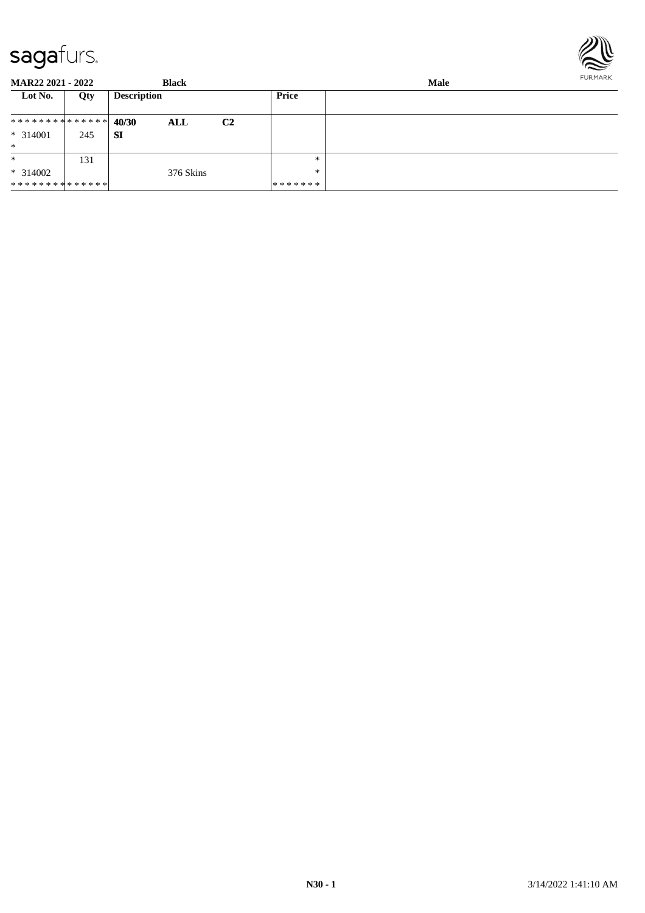

**MAR22 2021 - 2022 Black Male Lot No. Qty Description Price 40/30 ALL C2 SI** \* \* \* \* \* \* \* \* \* \* \* \* \* \* \* 314001 245 \* \* \* 314002 \* \* \* \* \* \* \* \* \* \* \* \* \* \* 131 376 Skins \* \* \* \* \* \* \* \* \*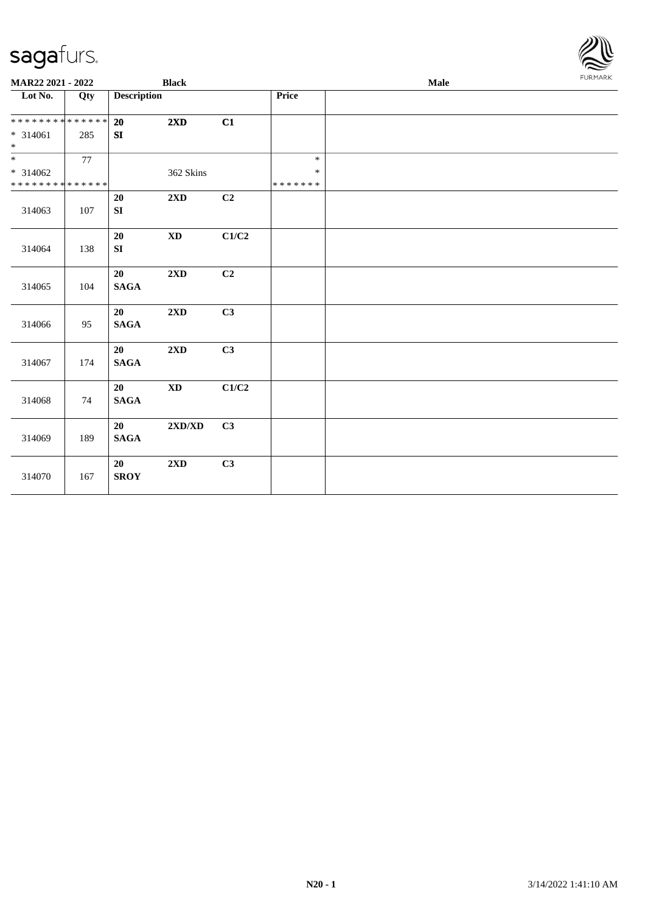| <b>MAR22 2021 - 2022</b>                   |     |                            | <b>Black</b>                     |       |                         | Male | <b>FURMARK</b> |
|--------------------------------------------|-----|----------------------------|----------------------------------|-------|-------------------------|------|----------------|
| Lot No.                                    | Qty | <b>Description</b>         |                                  |       | Price                   |      |                |
| * * * * * * * * <mark>* * * * * * *</mark> |     | 20                         | 2XD                              | C1    |                         |      |                |
| $* 314061$<br>$\ddot{\ast}$                | 285 | ${\bf S}{\bf I}$           |                                  |       |                         |      |                |
|                                            | 77  |                            |                                  |       | $\ast$                  |      |                |
| $* 314062$<br>* * * * * * * * * * * * * *  |     |                            | 362 Skins                        |       | $\ast$<br>* * * * * * * |      |                |
| 314063                                     | 107 | 20<br>${\bf S}{\bf I}$     | 2XD                              | C2    |                         |      |                |
| 314064                                     | 138 | $20\,$<br>${\bf S}{\bf I}$ | $\mathbf{X}\mathbf{D}$           | C1/C2 |                         |      |                |
| 314065                                     | 104 | 20<br><b>SAGA</b>          | 2XD                              | C2    |                         |      |                |
| 314066                                     | 95  | 20<br><b>SAGA</b>          | 2XD                              | C3    |                         |      |                |
| 314067                                     | 174 | 20<br>$\mathbf{SAGA}$      | 2XD                              | C3    |                         |      |                |
| 314068                                     | 74  | 20<br>$\mathbf{SAGA}$      | $\mathbf{X}\mathbf{D}$           | C1/C2 |                         |      |                |
| 314069                                     | 189 | 20<br>$\mathbf{SAGA}$      | $2{\bf X}{\bf D}/{\bf X}{\bf D}$ | C3    |                         |      |                |
| 314070                                     | 167 | 20<br><b>SROY</b>          | $2{\bf X}{\bf D}$                | C3    |                         |      |                |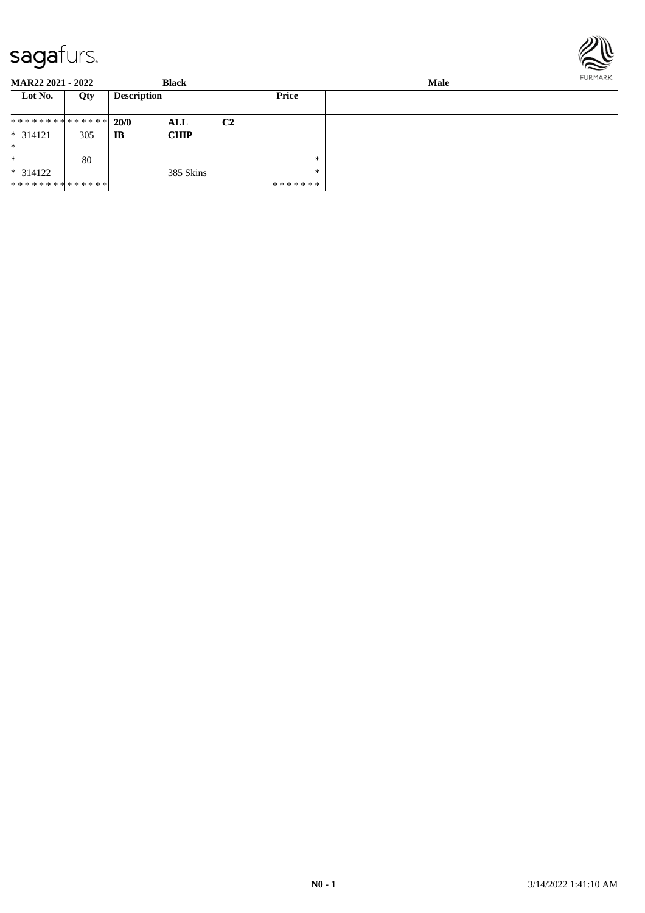

| <b>MAR22 2021 - 2022</b>      |     |                    | <b>Black</b> |                |               | <b>FURMARK</b> |  |
|-------------------------------|-----|--------------------|--------------|----------------|---------------|----------------|--|
| Lot No.                       | Qty | <b>Description</b> |              |                | Price         |                |  |
| ******** <mark>******</mark>  |     | 20/0               | ALL          | C <sub>2</sub> |               |                |  |
| $* 314121$                    | 305 | IB                 | <b>CHIP</b>  |                |               |                |  |
| $\ast$                        |     |                    |              |                |               |                |  |
| $\ast$                        | 80  |                    |              |                | $*$           |                |  |
| $* 314122$                    |     |                    | 385 Skins    |                | $*$           |                |  |
| * * * * * * * * * * * * * * * |     |                    |              |                | * * * * * * * |                |  |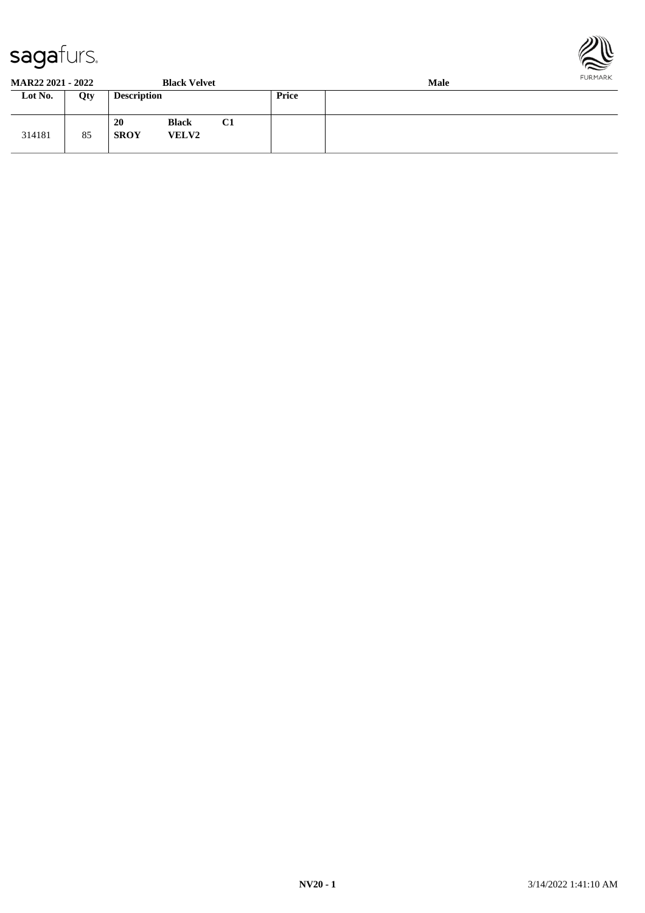



**MAR22 2021 - 2022 Black Velvet Male**

| WIAN <i>AA A</i> VAL - AVAA - |     |                          | DIALA V LIVEL                |                | wan          |  |  |  |  |
|-------------------------------|-----|--------------------------|------------------------------|----------------|--------------|--|--|--|--|
| Lot No.                       | Qty | <b>Description</b>       |                              |                | <b>Price</b> |  |  |  |  |
| 314181                        | 85  | <b>20</b><br><b>SROY</b> | <b>Black</b><br><b>VELV2</b> | C <sub>1</sub> |              |  |  |  |  |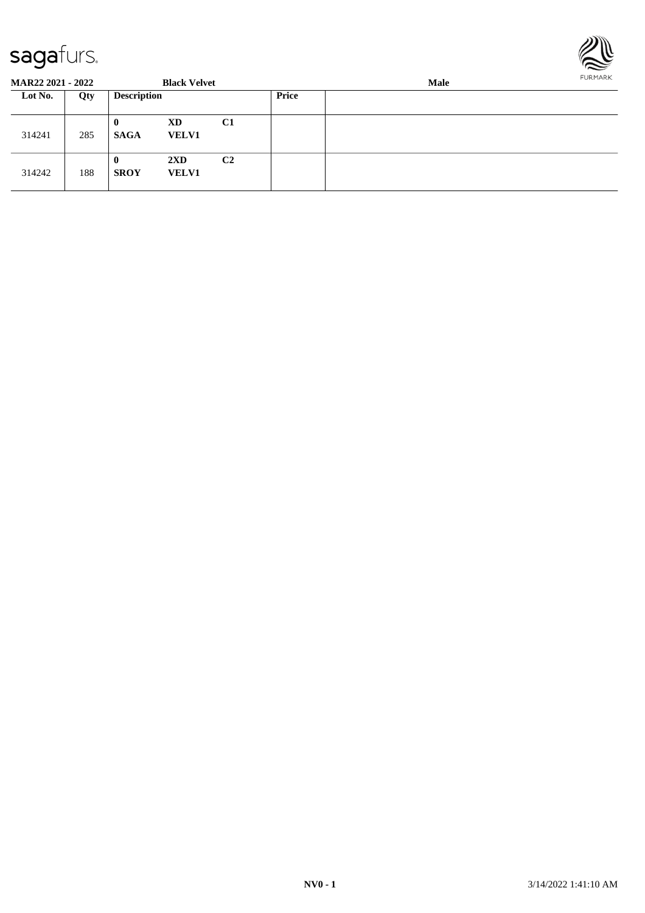

| <b>MAR22 2021 - 2022</b> |     |                         | <b>Black Velvet</b>                     |                |       | <b>Male</b> |  |  |  |  |
|--------------------------|-----|-------------------------|-----------------------------------------|----------------|-------|-------------|--|--|--|--|
| Lot No.                  | Qty | <b>Description</b>      |                                         |                | Price |             |  |  |  |  |
| 314241                   | 285 | $\bf{0}$<br><b>SAGA</b> | XD<br><b>VELV1</b>                      | C1             |       |             |  |  |  |  |
| 314242                   | 188 | $\bf{0}$<br><b>SROY</b> | $2\mathbf{X}\mathbf{D}$<br><b>VELV1</b> | C <sub>2</sub> |       |             |  |  |  |  |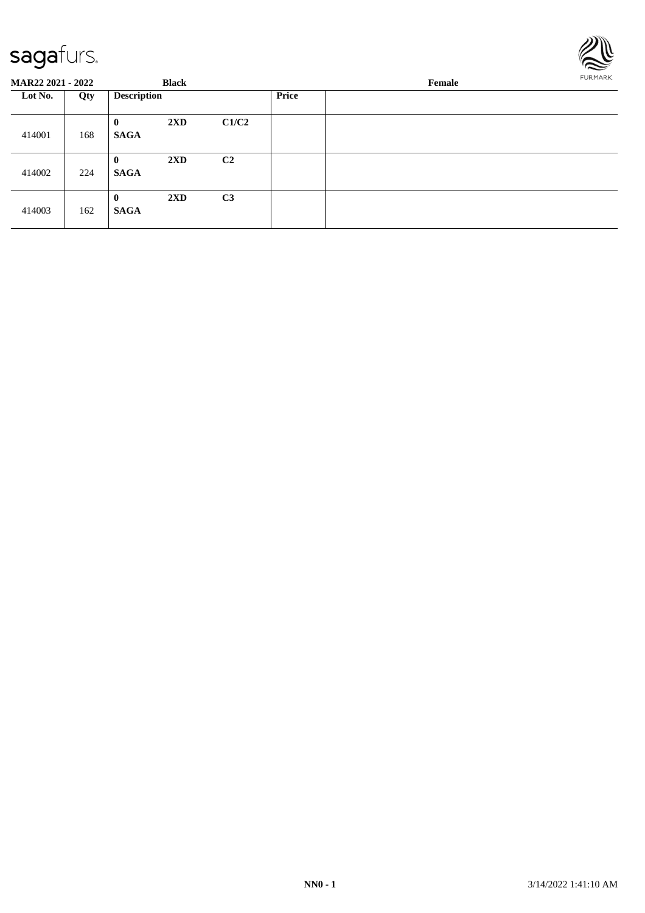

| <b>MAR22 2021 - 2022</b> |     |                             | <b>Black</b>            |                |       | Female |  |  |  |  |
|--------------------------|-----|-----------------------------|-------------------------|----------------|-------|--------|--|--|--|--|
| Lot No.                  | Qty | <b>Description</b>          |                         |                | Price |        |  |  |  |  |
| 414001                   | 168 | $\bf{0}$<br><b>SAGA</b>     | $2\mathbf{X}\mathbf{D}$ | C1/C2          |       |        |  |  |  |  |
| 414002                   | 224 | $\mathbf{0}$<br><b>SAGA</b> | $2\mathbf{X}\mathbf{D}$ | C <sub>2</sub> |       |        |  |  |  |  |
| 414003                   | 162 | $\bf{0}$<br><b>SAGA</b>     | $2\mathbf{X}\mathbf{D}$ | C3             |       |        |  |  |  |  |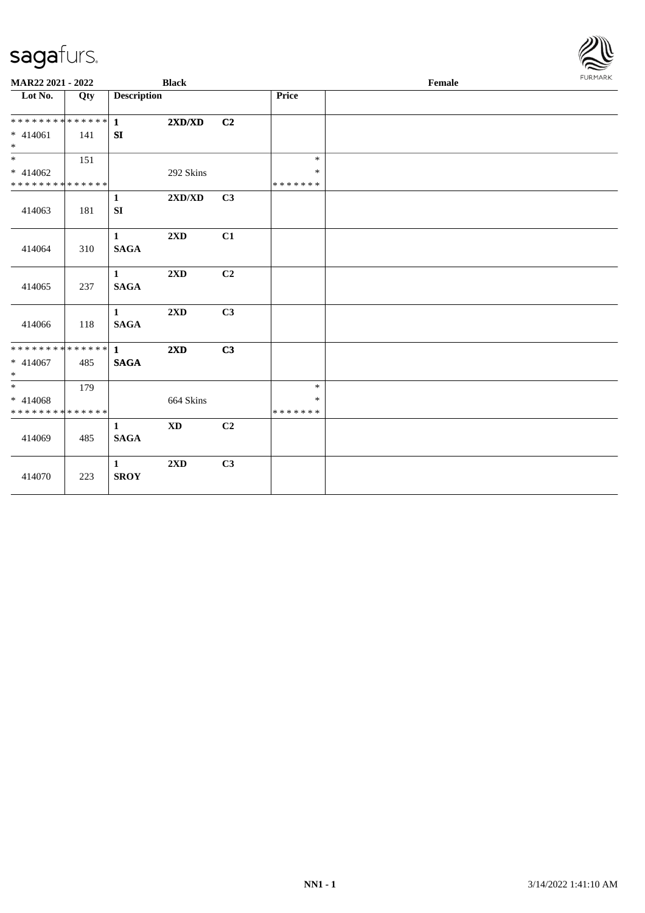| <b>MAR22 2021 - 2022</b>                   |     |                             | <b>Black</b>                     |                |         | Female | <b>FURMARK</b> |
|--------------------------------------------|-----|-----------------------------|----------------------------------|----------------|---------|--------|----------------|
| Lot No.                                    | Qty | <b>Description</b>          |                                  |                | Price   |        |                |
|                                            |     |                             | 2XD/XD                           | C2             |         |        |                |
| $* 414061$<br>$*$                          | 141 | SI                          |                                  |                |         |        |                |
| $\ddot{x}$                                 | 151 |                             |                                  |                | $\ast$  |        |                |
| $* 414062$                                 |     |                             | 292 Skins                        |                | $\ast$  |        |                |
| * * * * * * * * * * * * * * *              |     |                             |                                  |                | ******* |        |                |
| 414063                                     | 181 | $\mathbf{1}$<br>${\bf SI}$  | $2{\bf X}{\bf D}/{\bf X}{\bf D}$ | C3             |         |        |                |
| 414064                                     | 310 | $\mathbf{1}$<br><b>SAGA</b> | 2XD                              | C1             |         |        |                |
| 414065                                     | 237 | $\mathbf{1}$<br><b>SAGA</b> | 2XD                              | C <sub>2</sub> |         |        |                |
| 414066                                     | 118 | $\mathbf{1}$<br><b>SAGA</b> | 2XD                              | C3             |         |        |                |
| * * * * * * * * <mark>* * * * * * *</mark> |     | $\mathbf{1}$                | 2XD                              | C3             |         |        |                |
| * 414067<br>$\ast$                         | 485 | <b>SAGA</b>                 |                                  |                |         |        |                |
|                                            | 179 |                             |                                  |                | $\ast$  |        |                |
| $* 414068$                                 |     |                             | 664 Skins                        |                | $\ast$  |        |                |
| * * * * * * * * * * * * * * *              |     |                             |                                  |                | ******* |        |                |
| 414069                                     | 485 | $\mathbf{1}$<br><b>SAGA</b> | <b>XD</b>                        | C <sub>2</sub> |         |        |                |
| 414070                                     | 223 | 1<br><b>SROY</b>            | $2\mathbf{X}\mathbf{D}$          | C3             |         |        |                |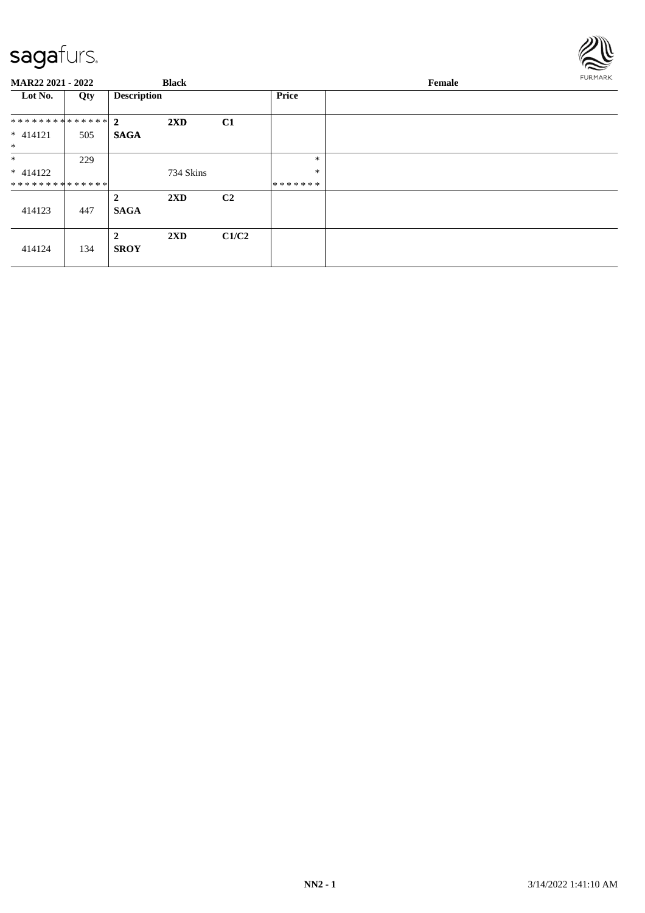

| MAR22 2021 - 2022 |     | <b>Black</b>       |                         |                | Female       |  | FURMARK |
|-------------------|-----|--------------------|-------------------------|----------------|--------------|--|---------|
| Lot No.           | Qty | <b>Description</b> |                         |                | <b>Price</b> |  |         |
| ************** 2  |     |                    | 2XD                     | C1             |              |  |         |
| $* 414121$        | 505 | <b>SAGA</b>        |                         |                |              |  |         |
| $\ast$            |     |                    |                         |                |              |  |         |
| $\ast$            | 229 |                    |                         |                | $\ast$       |  |         |
| $* 414122$        |     |                    | 734 Skins               |                | $\ast$       |  |         |
| **************    |     |                    |                         |                | *******      |  |         |
|                   |     | $\overline{2}$     | $2\mathbf{X}\mathbf{D}$ | C <sub>2</sub> |              |  |         |
| 414123            | 447 | <b>SAGA</b>        |                         |                |              |  |         |
| 414124            | 134 | 2<br><b>SROY</b>   | $2\mathbf{X}\mathbf{D}$ | C1/C2          |              |  |         |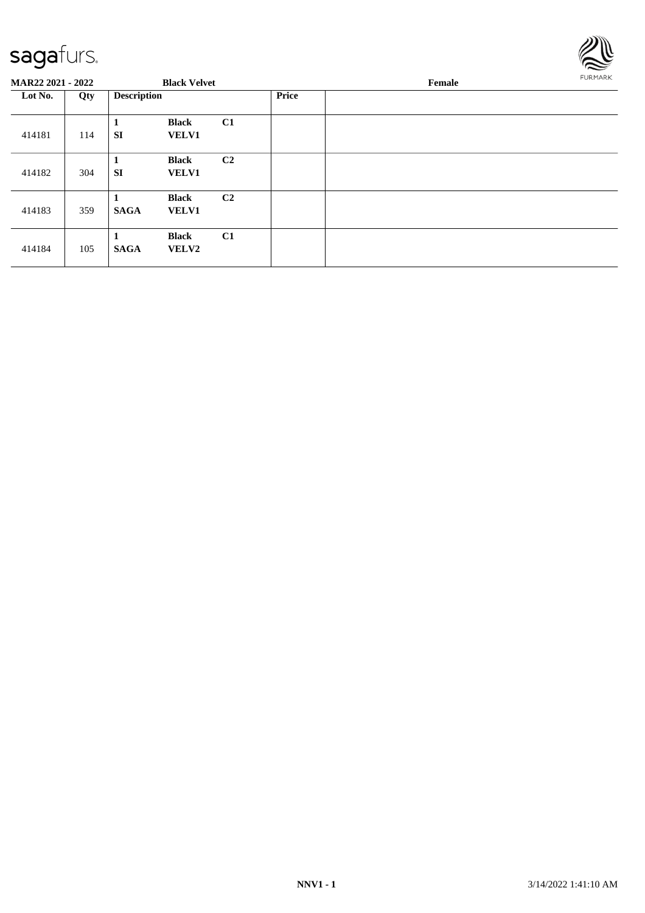

| MAR22 2021 - 2022 |     |                    | <b>Black Velvet</b>          |                |              | Female |  |  |
|-------------------|-----|--------------------|------------------------------|----------------|--------------|--------|--|--|
| Lot No.           | Qty | <b>Description</b> |                              |                | <b>Price</b> |        |  |  |
| 414181            | 114 | л<br><b>SI</b>     | <b>Black</b><br><b>VELV1</b> | C1             |              |        |  |  |
| 414182            | 304 | 1<br><b>SI</b>     | <b>Black</b><br><b>VELV1</b> | C <sub>2</sub> |              |        |  |  |
| 414183            | 359 | <b>SAGA</b>        | <b>Black</b><br><b>VELV1</b> | C <sub>2</sub> |              |        |  |  |
| 414184            | 105 | 1<br><b>SAGA</b>   | <b>Black</b><br><b>VELV2</b> | C <sub>1</sub> |              |        |  |  |